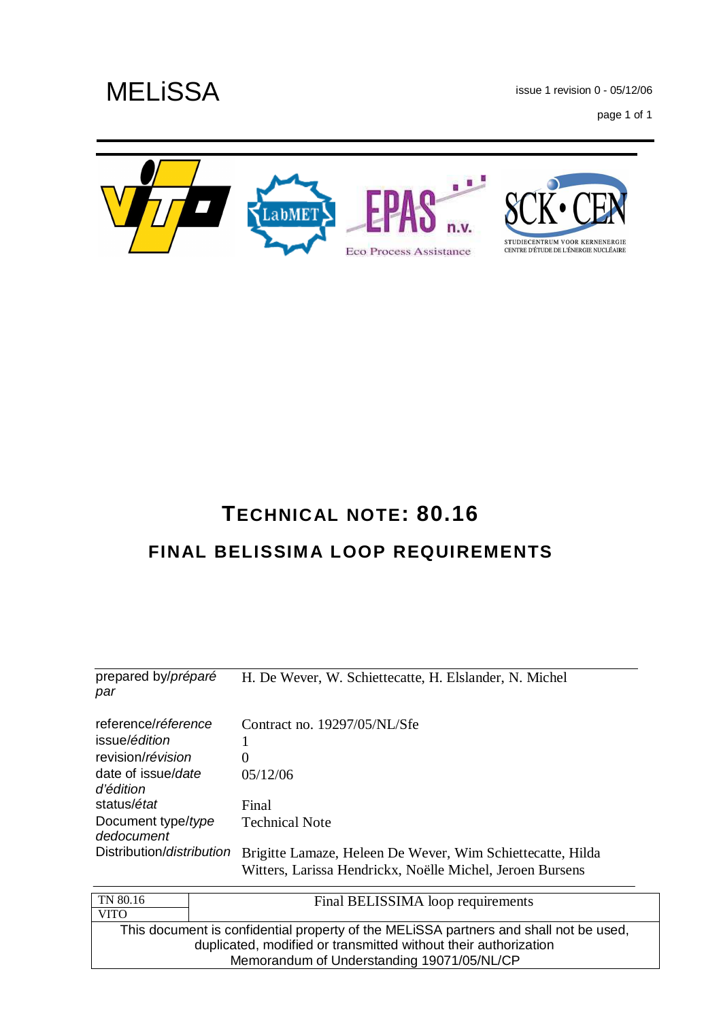issue 1 revision 0 - 05/12/06

page 1 of 1



# **TECHNICAL NOTE: 80.16 FINAL BELISSIMA LOOP REQUIREMENTS**

| prepared by/ <i>préparé</i><br>par                                                | H. De Wever, W. Schiettecatte, H. Elslander, N. Michel                                                                  |
|-----------------------------------------------------------------------------------|-------------------------------------------------------------------------------------------------------------------------|
| reference/ <i>réference</i><br>issue/é <i>dition</i><br>revision/ <i>révision</i> | Contract no. 19297/05/NL/Sfe<br>$\overline{0}$                                                                          |
| date of issue/date<br>d'édition                                                   | 05/12/06                                                                                                                |
| status/ <i>état</i>                                                               | Final                                                                                                                   |
| Document type/type<br>dedocument                                                  | <b>Technical Note</b>                                                                                                   |
| Distribution/distribution                                                         | Brigitte Lamaze, Heleen De Wever, Wim Schiettecatte, Hilda<br>Witters, Larissa Hendrickx, Noëlle Michel, Jeroen Bursens |

| Final BELISSIMA loop requirements                                                     |
|---------------------------------------------------------------------------------------|
|                                                                                       |
| This document is confidential property of the MELISSA partners and shall not be used, |
| duplicated, modified or transmitted without their authorization                       |
| Memorandum of Understanding 19071/05/NL/CP                                            |
|                                                                                       |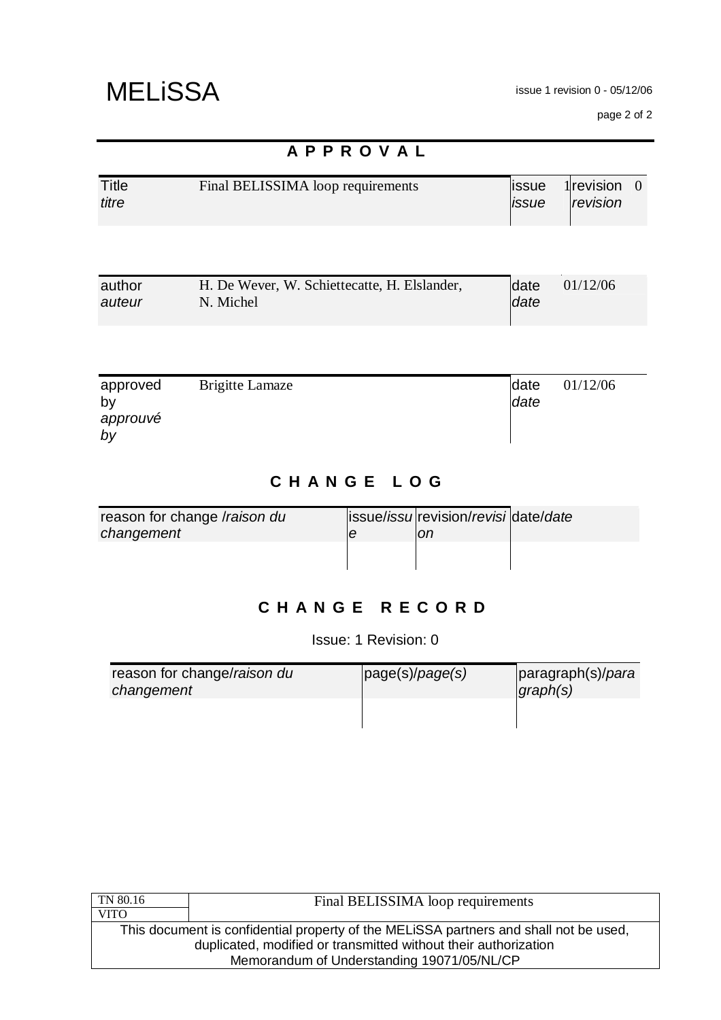page 2 of 2

|                                  | APPROVAL                                                  |                 |                            |
|----------------------------------|-----------------------------------------------------------|-----------------|----------------------------|
| <b>Title</b><br>titre            | Final BELISSIMA loop requirements                         | lissue<br>issue | 1 $revision 0$<br>revision |
|                                  |                                                           |                 |                            |
| author<br>auteur                 | H. De Wever, W. Schiettecatte, H. Elslander,<br>N. Michel | date<br>date    | 01/12/06                   |
|                                  |                                                           |                 |                            |
| approved<br>by<br>approuvé<br>by | <b>Brigitte Lamaze</b>                                    | date<br>date    | 01/12/06                   |

## **C H A N G E L O G**

| reason for change /raison du | issue/issu revision/revisi date/date |  |
|------------------------------|--------------------------------------|--|
| changement                   | оn                                   |  |
|                              |                                      |  |
|                              |                                      |  |

## **C H A N G E R E C O R D**

Issue: 1 Revision: 0

| reason for change/raison du<br>changement | page(s)/page(s) | paragraph(s)/para<br>graph(s) |
|-------------------------------------------|-----------------|-------------------------------|
|                                           |                 |                               |

| Final BELISSIMA loop requirements                                                     |  |  |
|---------------------------------------------------------------------------------------|--|--|
|                                                                                       |  |  |
| This document is confidential property of the MELISSA partners and shall not be used, |  |  |
| duplicated, modified or transmitted without their authorization                       |  |  |
| Memorandum of Understanding 19071/05/NL/CP                                            |  |  |
|                                                                                       |  |  |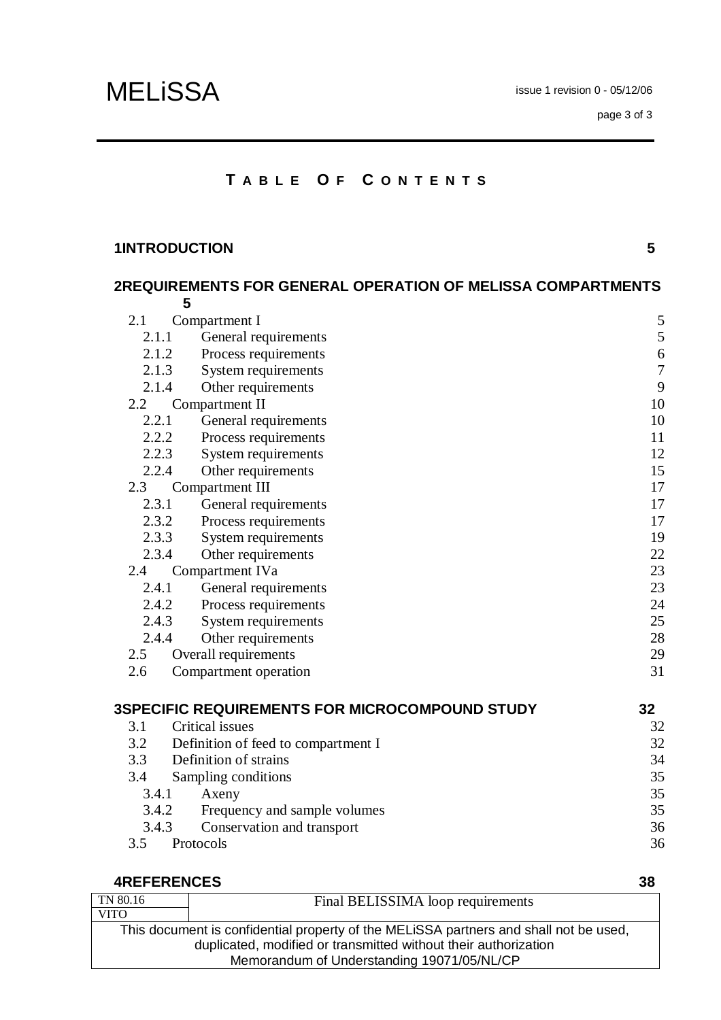### **T A B L E O F C O N T E N T S**

### **1INTRODUCTION 5**

|       | 2REQUIREMENTS FOR GENERAL OPERATION OF MELISSA COMPARTMENTS |                  |
|-------|-------------------------------------------------------------|------------------|
|       | 5                                                           |                  |
| 2.1   | Compartment I                                               | 5                |
| 2.1.1 | General requirements                                        | $\mathfrak s$    |
|       | Process requirements<br>2.1.2                               | 6                |
| 2.1.3 | System requirements                                         | $\boldsymbol{7}$ |
| 2.1.4 | Other requirements                                          | 9                |
| 2.2   | Compartment II                                              | 10               |
| 2.2.1 | General requirements                                        | 10               |
|       | 2.2.2<br>Process requirements                               | 11               |
| 2.2.3 | System requirements                                         | 12               |
| 2.2.4 | Other requirements                                          | 15               |
| 2.3   | Compartment III                                             | 17               |
| 2.3.1 | General requirements                                        | 17               |
| 2.3.2 | Process requirements                                        | 17               |
| 2.3.3 | System requirements                                         | 19               |
| 2.3.4 | Other requirements                                          | 22               |
| 2.4   | Compartment IVa                                             | 23               |
| 2.4.1 | General requirements                                        | 23               |
|       | Process requirements<br>2.4.2                               | 24               |
| 2.4.3 | System requirements                                         | 25               |
| 2.4.4 | Other requirements                                          | 28               |
| 2.5   | Overall requirements                                        | 29               |
| 2.6   | Compartment operation                                       | 31               |
|       |                                                             |                  |

|       | <b>3SPECIFIC REQUIREMENTS FOR MICROCOMPOUND STUDY</b> | 32 |
|-------|-------------------------------------------------------|----|
| 3.1   | Critical issues                                       | 32 |
| 3.2   | Definition of feed to compartment I                   | 32 |
| 3.3   | Definition of strains                                 | 34 |
| 3.4   | Sampling conditions                                   | 35 |
| 3.4.1 | Axeny                                                 | 35 |
| 3.4.2 | Frequency and sample volumes                          | 35 |
| 3.4.3 | Conservation and transport                            | 36 |
| 3.5   | Protocols                                             | 36 |
|       |                                                       |    |

#### TN 80.16 VITO Final BELISSIMA loop requirements This document is confidential property of the MELiSSA partners and shall not be used, duplicated, modified or transmitted without their authorization Memorandum of Understanding 19071/05/NL/CP **4REFERENCES 38**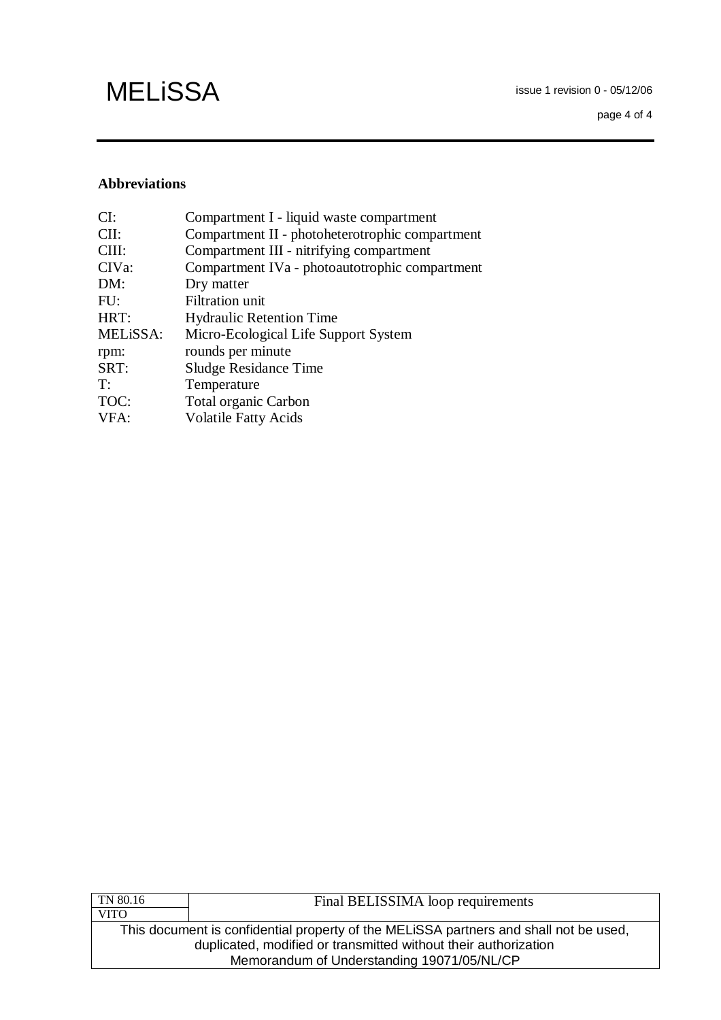### **Abbreviations**

| CI:      | Compartment I - liquid waste compartment        |
|----------|-------------------------------------------------|
| $CII$ :  | Compartment II - photoheterotrophic compartment |
| CIII:    | Compartment III - nitrifying compartment        |
| CIVa:    | Compartment IVa - photoautotrophic compartment  |
| DM:      | Dry matter                                      |
| FU:      | <b>Filtration unit</b>                          |
| HRT:     | <b>Hydraulic Retention Time</b>                 |
| MELISSA: | Micro-Ecological Life Support System            |
| rpm:     | rounds per minute                               |
| SRT:     | Sludge Residance Time                           |
| T:       | Temperature                                     |
| TOC:     | <b>Total organic Carbon</b>                     |
| VFA:     | <b>Volatile Fatty Acids</b>                     |
|          |                                                 |

| TN 80.16                                                        | Final BELISSIMA loop requirements                                                     |  |  |
|-----------------------------------------------------------------|---------------------------------------------------------------------------------------|--|--|
| VITO                                                            |                                                                                       |  |  |
|                                                                 | This document is confidential property of the MELISSA partners and shall not be used, |  |  |
| duplicated, modified or transmitted without their authorization |                                                                                       |  |  |
|                                                                 | Memorandum of Understanding 19071/05/NL/CP                                            |  |  |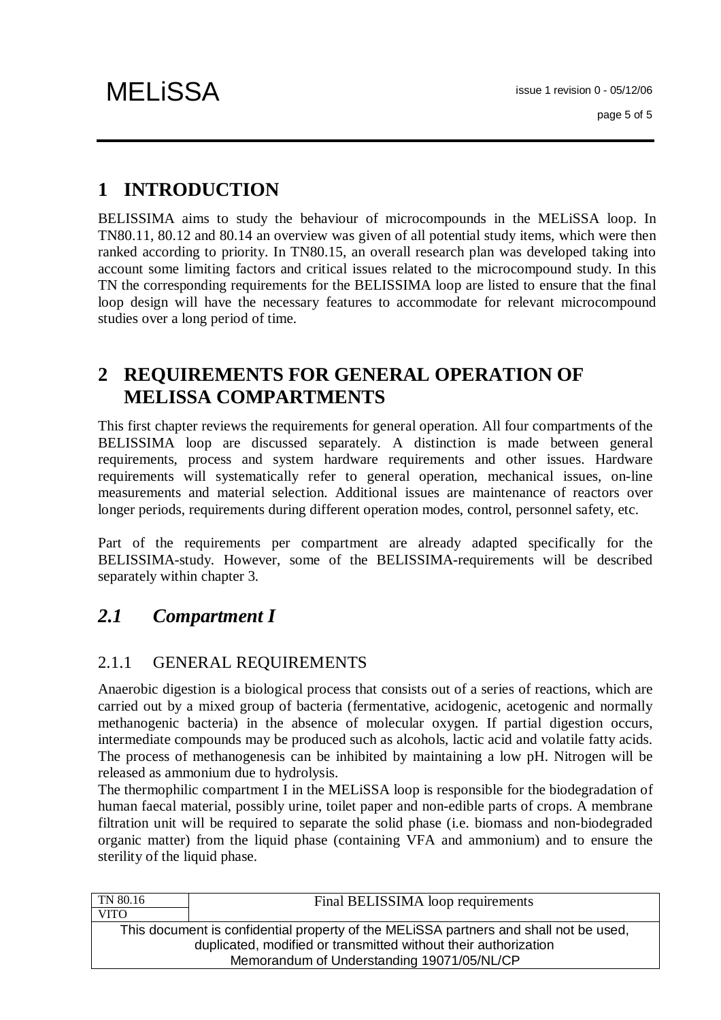# **1 INTRODUCTION**

BELISSIMA aims to study the behaviour of microcompounds in the MELiSSA loop. In TN80.11, 80.12 and 80.14 an overview was given of all potential study items, which were then ranked according to priority. In TN80.15, an overall research plan was developed taking into account some limiting factors and critical issues related to the microcompound study. In this TN the corresponding requirements for the BELISSIMA loop are listed to ensure that the final loop design will have the necessary features to accommodate for relevant microcompound studies over a long period of time.

## **2 REQUIREMENTS FOR GENERAL OPERATION OF MELISSA COMPARTMENTS**

This first chapter reviews the requirements for general operation. All four compartments of the BELISSIMA loop are discussed separately. A distinction is made between general requirements, process and system hardware requirements and other issues. Hardware requirements will systematically refer to general operation, mechanical issues, on-line measurements and material selection. Additional issues are maintenance of reactors over longer periods, requirements during different operation modes, control, personnel safety, etc.

Part of the requirements per compartment are already adapted specifically for the BELISSIMA-study. However, some of the BELISSIMA-requirements will be described separately within chapter 3.

## *2.1 Compartment I*

### 2.1.1 GENERAL REQUIREMENTS

Anaerobic digestion is a biological process that consists out of a series of reactions, which are carried out by a mixed group of bacteria (fermentative, acidogenic, acetogenic and normally methanogenic bacteria) in the absence of molecular oxygen. If partial digestion occurs, intermediate compounds may be produced such as alcohols, lactic acid and volatile fatty acids. The process of methanogenesis can be inhibited by maintaining a low pH. Nitrogen will be released as ammonium due to hydrolysis.

The thermophilic compartment I in the MELiSSA loop is responsible for the biodegradation of human faecal material, possibly urine, toilet paper and non-edible parts of crops. A membrane filtration unit will be required to separate the solid phase (i.e. biomass and non-biodegraded organic matter) from the liquid phase (containing VFA and ammonium) and to ensure the sterility of the liquid phase.

| TN 80.16    | Final BELISSIMA loop requirements                                                                                                                                                                      |
|-------------|--------------------------------------------------------------------------------------------------------------------------------------------------------------------------------------------------------|
| <b>VITO</b> |                                                                                                                                                                                                        |
|             | This document is confidential property of the MELISSA partners and shall not be used,<br>duplicated, modified or transmitted without their authorization<br>Memorandum of Understanding 19071/05/NL/CP |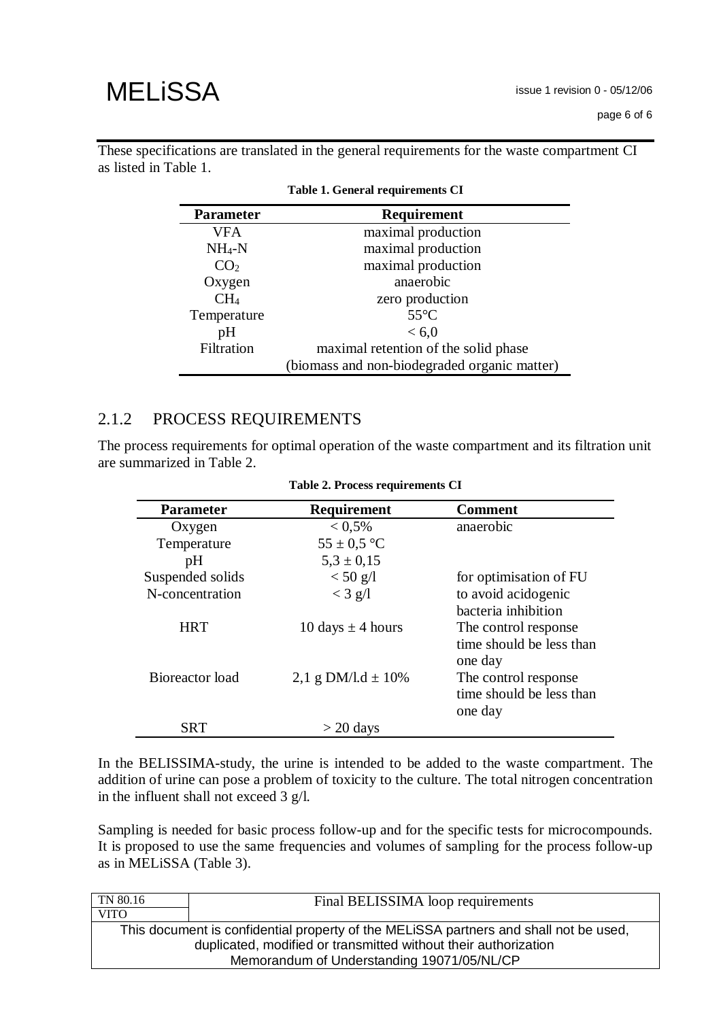These specifications are translated in the general requirements for the waste compartment CI as listed in Table 1.

| <b>Parameter</b> | Requirement                                  |
|------------------|----------------------------------------------|
| <b>VFA</b>       | maximal production                           |
| $NH_4-N$         | maximal production                           |
| CO <sub>2</sub>  | maximal production                           |
| Oxygen           | anaerobic                                    |
| CH <sub>4</sub>  | zero production                              |
| Temperature      | $55^{\circ}$ C                               |
| pH               | < 6.0                                        |
| Filtration       | maximal retention of the solid phase         |
|                  | (biomass and non-biodegraded organic matter) |

|  |  | Table 1. General requirements CI |  |
|--|--|----------------------------------|--|
|--|--|----------------------------------|--|

#### 2.1.2 PROCESS REQUIREMENTS

The process requirements for optimal operation of the waste compartment and its filtration unit are summarized in Table 2.

| <b>Parameter</b> | <b>Requirement</b>     | <b>Comment</b>           |
|------------------|------------------------|--------------------------|
| Oxygen           | $< 0.5\%$              | anaerobic                |
| Temperature      | $55 \pm 0.5$ °C        |                          |
| pH               | $5.3 \pm 0.15$         |                          |
| Suspended solids | $< 50$ g/l             | for optimisation of FU   |
| N-concentration  | $<$ 3 g/l              | to avoid acidogenic      |
|                  |                        | hacteria inhibition      |
| <b>HRT</b>       | 10 days $\pm$ 4 hours  | The control response     |
|                  |                        | time should be less than |
|                  |                        | one day                  |
| Bioreactor load  | 2,1 g DM/l.d $\pm$ 10% | The control response     |
|                  |                        | time should be less than |
|                  |                        | one day                  |
| SRT              | $>$ 20 days            |                          |

| Table 2. Process requirements CI |  |  |
|----------------------------------|--|--|
|----------------------------------|--|--|

In the BELISSIMA-study, the urine is intended to be added to the waste compartment. The addition of urine can pose a problem of toxicity to the culture. The total nitrogen concentration in the influent shall not exceed 3 g/l.

Sampling is needed for basic process follow-up and for the specific tests for microcompounds. It is proposed to use the same frequencies and volumes of sampling for the process follow-up as in MELiSSA (Table 3).

| TN 80.16                                                                              | Final BELISSIMA loop requirements |  |
|---------------------------------------------------------------------------------------|-----------------------------------|--|
| <b>VITO</b>                                                                           |                                   |  |
| This document is confidential property of the MELISSA partners and shall not be used, |                                   |  |
| duplicated, modified or transmitted without their authorization                       |                                   |  |
| Memorandum of Understanding 19071/05/NL/CP                                            |                                   |  |
|                                                                                       |                                   |  |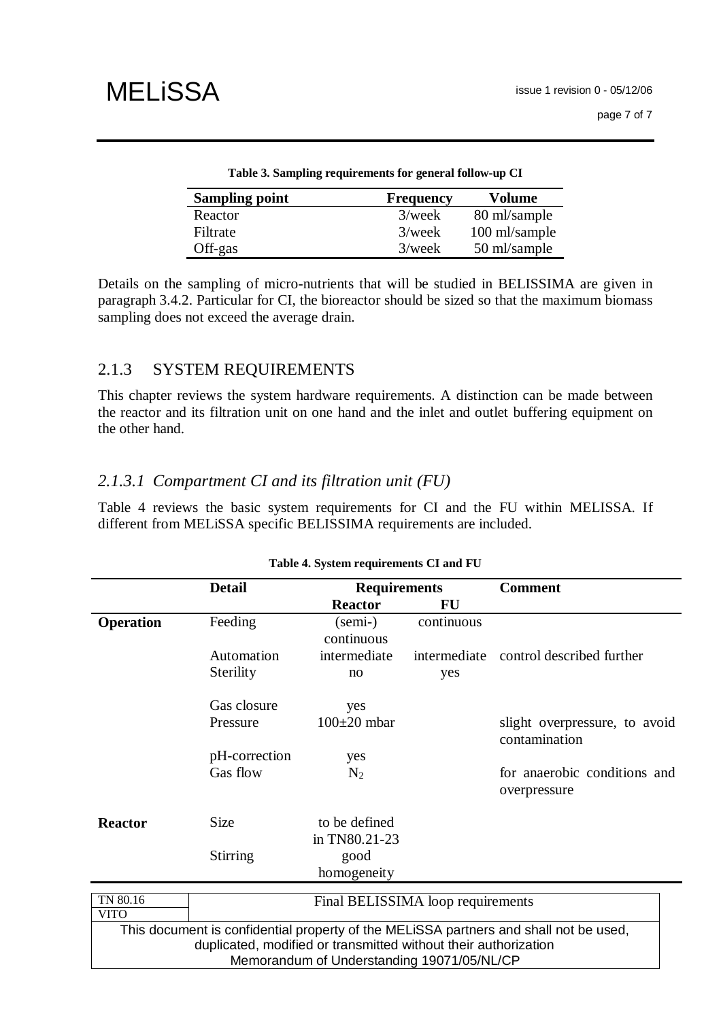| Table 3. Sampling requirements for general follow-up CT |                  |               |  |  |
|---------------------------------------------------------|------------------|---------------|--|--|
| <b>Sampling point</b>                                   | <b>Frequency</b> | Volume        |  |  |
| Reactor                                                 | $3$ /week        | 80 ml/sample  |  |  |
| Filtrate                                                | $3$ /week        | 100 ml/sample |  |  |
| Off-gas                                                 | $3$ /week        | 50 ml/sample  |  |  |

**Table 3. Sampling requirements for general follow-up CI** 

Details on the sampling of micro-nutrients that will be studied in BELISSIMA are given in paragraph 3.4.2. Particular for CI, the bioreactor should be sized so that the maximum biomass sampling does not exceed the average drain.

### 2.1.3 SYSTEM REQUIREMENTS

This chapter reviews the system hardware requirements. A distinction can be made between the reactor and its filtration unit on one hand and the inlet and outlet buffering equipment on the other hand.

### *2.1.3.1 Compartment CI and its filtration unit (FU)*

Table 4 reviews the basic system requirements for CI and the FU within MELISSA. If different from MELiSSA specific BELISSIMA requirements are included.

| Table 4. System requirements CI and FU     |                                                                 |                                   |            |                                                                                       |
|--------------------------------------------|-----------------------------------------------------------------|-----------------------------------|------------|---------------------------------------------------------------------------------------|
|                                            | <b>Detail</b>                                                   | <b>Requirements</b>               |            | <b>Comment</b>                                                                        |
|                                            |                                                                 | <b>Reactor</b>                    | FU         |                                                                                       |
| <b>Operation</b>                           | Feeding                                                         | $(\text{semi-})$<br>continuous    | continuous |                                                                                       |
|                                            | Automation                                                      | intermediate                      |            | intermediate control described further                                                |
|                                            | Sterility                                                       | no                                | yes        |                                                                                       |
|                                            | Gas closure                                                     | yes                               |            |                                                                                       |
|                                            | Pressure                                                        | $100\pm20$ mbar                   |            | slight overpressure, to avoid<br>contamination                                        |
|                                            | pH-correction                                                   | yes                               |            |                                                                                       |
|                                            | Gas flow                                                        | $N_2$                             |            | for anaerobic conditions and<br>overpressure                                          |
| <b>Reactor</b>                             | Size                                                            | to be defined<br>in TN80.21-23    |            |                                                                                       |
|                                            | <b>Stirring</b>                                                 | good                              |            |                                                                                       |
|                                            |                                                                 | homogeneity                       |            |                                                                                       |
| TN 80.16                                   |                                                                 | Final BELISSIMA loop requirements |            |                                                                                       |
| <b>VITO</b>                                |                                                                 |                                   |            |                                                                                       |
|                                            |                                                                 |                                   |            | This document is confidential property of the MELISSA partners and shall not be used, |
|                                            | duplicated, modified or transmitted without their authorization |                                   |            |                                                                                       |
| Memorandum of Understanding 19071/05/NL/CP |                                                                 |                                   |            |                                                                                       |

### **Table 4. System requirements CI and FU**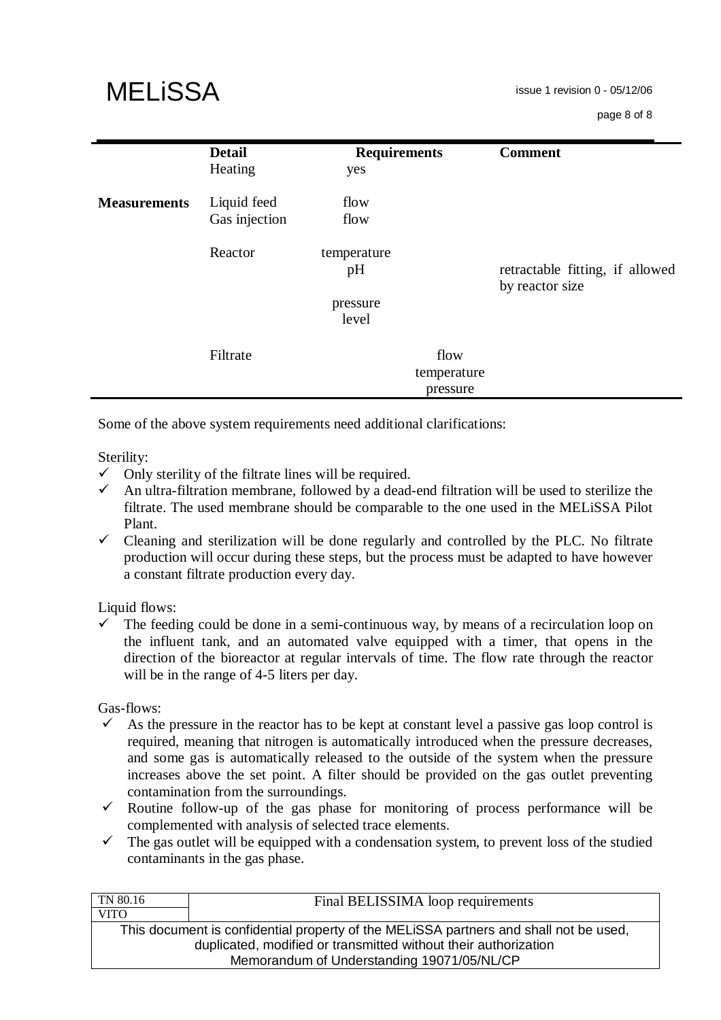| <b>MELISSA</b> |  |
|----------------|--|
|----------------|--|

|                     | <b>Detail</b><br>Heating     | <b>Requirements</b><br>yes |                     | <b>Comment</b>                                     |
|---------------------|------------------------------|----------------------------|---------------------|----------------------------------------------------|
| <b>Measurements</b> | Liquid feed<br>Gas injection | flow<br>flow               |                     |                                                    |
|                     | Reactor                      | temperature<br>pH          |                     | retractable fitting, if allowed<br>by reactor size |
|                     |                              | pressure<br>level          |                     |                                                    |
|                     | Filtrate                     |                            | flow<br>temperature |                                                    |
|                     |                              |                            | pressure            |                                                    |

Some of the above system requirements need additional clarifications:

Sterility:

- $\checkmark$  Only sterility of the filtrate lines will be required.
- An ultra-filtration membrane, followed by a dead-end filtration will be used to sterilize the filtrate. The used membrane should be comparable to the one used in the MELiSSA Pilot Plant.
- $\checkmark$  Cleaning and sterilization will be done regularly and controlled by the PLC. No filtrate production will occur during these steps, but the process must be adapted to have however a constant filtrate production every day.

Liquid flows:

 The feeding could be done in a semi-continuous way, by means of a recirculation loop on the influent tank, and an automated valve equipped with a timer, that opens in the direction of the bioreactor at regular intervals of time. The flow rate through the reactor will be in the range of 4-5 liters per day.

Gas-flows:

- $\checkmark$  As the pressure in the reactor has to be kept at constant level a passive gas loop control is required, meaning that nitrogen is automatically introduced when the pressure decreases, and some gas is automatically released to the outside of the system when the pressure increases above the set point. A filter should be provided on the gas outlet preventing contamination from the surroundings.
- $\checkmark$  Routine follow-up of the gas phase for monitoring of process performance will be complemented with analysis of selected trace elements.
- $\checkmark$  The gas outlet will be equipped with a condensation system, to prevent loss of the studied contaminants in the gas phase.

| Final BELISSIMA loop requirements                                                     |  |  |
|---------------------------------------------------------------------------------------|--|--|
|                                                                                       |  |  |
| This document is confidential property of the MELISSA partners and shall not be used, |  |  |
| duplicated, modified or transmitted without their authorization                       |  |  |
| Memorandum of Understanding 19071/05/NL/CP                                            |  |  |
|                                                                                       |  |  |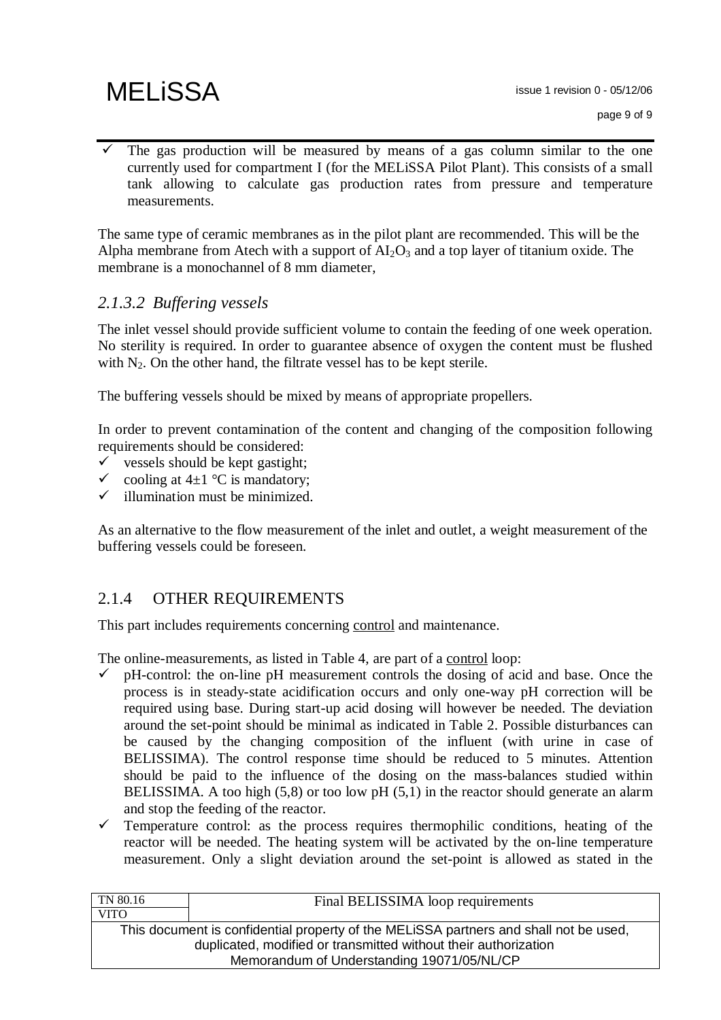The gas production will be measured by means of a gas column similar to the one currently used for compartment I (for the MELiSSA Pilot Plant). This consists of a small tank allowing to calculate gas production rates from pressure and temperature measurements.

The same type of ceramic membranes as in the pilot plant are recommended. This will be the Alpha membrane from Atech with a support of  $AI<sub>2</sub>O<sub>3</sub>$  and a top layer of titanium oxide. The membrane is a monochannel of 8 mm diameter,

### *2.1.3.2 Buffering vessels*

The inlet vessel should provide sufficient volume to contain the feeding of one week operation. No sterility is required. In order to guarantee absence of oxygen the content must be flushed with  $N_2$ . On the other hand, the filtrate vessel has to be kept sterile.

The buffering vessels should be mixed by means of appropriate propellers.

In order to prevent contamination of the content and changing of the composition following requirements should be considered:

- $\checkmark$  vessels should be kept gastight;
- $\checkmark$  cooling at 4 $\pm$ 1 °C is mandatory;
- $\checkmark$  illumination must be minimized.

As an alternative to the flow measurement of the inlet and outlet, a weight measurement of the buffering vessels could be foreseen.

### 2.1.4 OTHER REQUIREMENTS

This part includes requirements concerning control and maintenance.

The online-measurements, as listed in Table 4, are part of a control loop:

- $\checkmark$  pH-control: the on-line pH measurement controls the dosing of acid and base. Once the process is in steady-state acidification occurs and only one-way pH correction will be required using base. During start-up acid dosing will however be needed. The deviation around the set-point should be minimal as indicated in Table 2. Possible disturbances can be caused by the changing composition of the influent (with urine in case of BELISSIMA). The control response time should be reduced to 5 minutes. Attention should be paid to the influence of the dosing on the mass-balances studied within BELISSIMA. A too high (5,8) or too low pH (5,1) in the reactor should generate an alarm and stop the feeding of the reactor.
- $\checkmark$  Temperature control: as the process requires thermophilic conditions, heating of the reactor will be needed. The heating system will be activated by the on-line temperature measurement. Only a slight deviation around the set-point is allowed as stated in the

| TN 80.16                                                                              | Final BELISSIMA loop requirements |  |
|---------------------------------------------------------------------------------------|-----------------------------------|--|
| <b>VITO</b>                                                                           |                                   |  |
| This document is confidential property of the MELISSA partners and shall not be used, |                                   |  |
| duplicated, modified or transmitted without their authorization                       |                                   |  |
| Memorandum of Understanding 19071/05/NL/CP                                            |                                   |  |
|                                                                                       |                                   |  |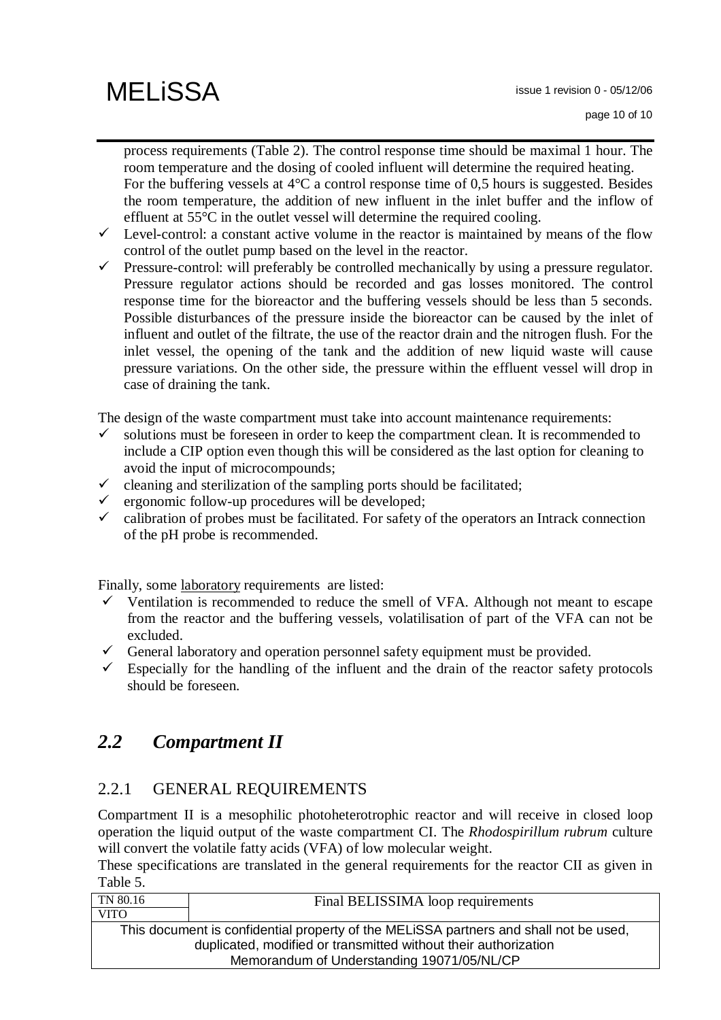process requirements (Table 2). The control response time should be maximal 1 hour. The room temperature and the dosing of cooled influent will determine the required heating. For the buffering vessels at  $4^{\circ}$ C a control response time of 0,5 hours is suggested. Besides the room temperature, the addition of new influent in the inlet buffer and the inflow of effluent at 55°C in the outlet vessel will determine the required cooling.

- $\checkmark$  Level-control: a constant active volume in the reactor is maintained by means of the flow control of the outlet pump based on the level in the reactor.
- $\checkmark$  Pressure-control: will preferably be controlled mechanically by using a pressure regulator. Pressure regulator actions should be recorded and gas losses monitored. The control response time for the bioreactor and the buffering vessels should be less than 5 seconds. Possible disturbances of the pressure inside the bioreactor can be caused by the inlet of influent and outlet of the filtrate, the use of the reactor drain and the nitrogen flush. For the inlet vessel, the opening of the tank and the addition of new liquid waste will cause pressure variations. On the other side, the pressure within the effluent vessel will drop in case of draining the tank.

The design of the waste compartment must take into account maintenance requirements:

- solutions must be foreseen in order to keep the compartment clean. It is recommended to include a CIP option even though this will be considered as the last option for cleaning to avoid the input of microcompounds;
- $\checkmark$  cleaning and sterilization of the sampling ports should be facilitated;
- $\checkmark$  ergonomic follow-up procedures will be developed;
- $\checkmark$  calibration of probes must be facilitated. For safety of the operators an Intrack connection of the pH probe is recommended.

Finally, some laboratory requirements are listed:

- $\checkmark$  Ventilation is recommended to reduce the smell of VFA. Although not meant to escape from the reactor and the buffering vessels, volatilisation of part of the VFA can not be excluded.
- General laboratory and operation personnel safety equipment must be provided.
- $\checkmark$  Especially for the handling of the influent and the drain of the reactor safety protocols should be foreseen.

## *2.2 Compartment II*

### 2.2.1 GENERAL REQUIREMENTS

Compartment II is a mesophilic photoheterotrophic reactor and will receive in closed loop operation the liquid output of the waste compartment CI. The *Rhodospirillum rubrum* culture will convert the volatile fatty acids (VFA) of low molecular weight.

These specifications are translated in the general requirements for the reactor CII as given in Table 5.

| TN 80.16                                                                              | Final BELISSIMA loop requirements |  |
|---------------------------------------------------------------------------------------|-----------------------------------|--|
| <b>VITO</b>                                                                           |                                   |  |
| This document is confidential property of the MELISSA partners and shall not be used, |                                   |  |
| duplicated, modified or transmitted without their authorization                       |                                   |  |
| Memorandum of Understanding 19071/05/NL/CP                                            |                                   |  |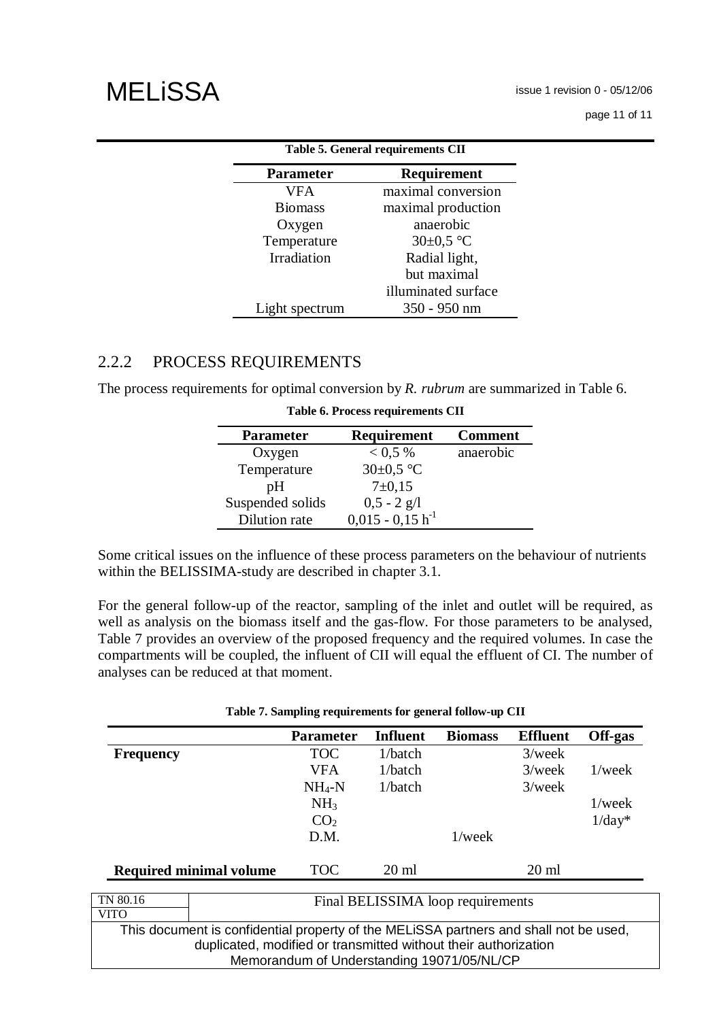issue 1 revision 0 - 05/12/06

page 11 of 11

| Table 5. General requirements CII |                     |  |  |
|-----------------------------------|---------------------|--|--|
| <b>Parameter</b><br>Requirement   |                     |  |  |
| <b>VFA</b>                        | maximal conversion  |  |  |
| <b>Biomass</b>                    | maximal production  |  |  |
| Oxygen                            | anaerobic           |  |  |
| Temperature                       | $30\pm0.5$ °C       |  |  |
| Irradiation                       | Radial light,       |  |  |
|                                   | but maximal         |  |  |
|                                   | illuminated surface |  |  |
| Light spectrum                    | 350 - 950 nm        |  |  |

### 2.2.2 PROCESS REQUIREMENTS

The process requirements for optimal conversion by *R. rubrum* are summarized in Table 6.

| <b>Parameter</b> | Requirement           | <b>Comment</b> |
|------------------|-----------------------|----------------|
| Oxygen           | $0.5\%$               | anaerobic      |
| Temperature      | $30\pm0.5$ °C         |                |
| pΗ               | $7 \pm 0.15$          |                |
| Suspended solids | $0,5 - 2$ g/l         |                |
| Dilution rate    | $0,015 - 0,15 h^{-1}$ |                |

| Table 6. Process requirements CII |  |
|-----------------------------------|--|
|-----------------------------------|--|

Some critical issues on the influence of these process parameters on the behaviour of nutrients within the BELISSIMA-study are described in chapter 3.1.

For the general follow-up of the reactor, sampling of the inlet and outlet will be required, as well as analysis on the biomass itself and the gas-flow. For those parameters to be analysed, Table 7 provides an overview of the proposed frequency and the required volumes. In case the compartments will be coupled, the influent of CII will equal the effluent of CI. The number of analyses can be reduced at that moment.

|                  |                                                                                                                                                          | <b>Parameter</b> | <b>Influent</b> | <b>Biomass</b>                    | <b>Effluent</b> | Off-gas   |
|------------------|----------------------------------------------------------------------------------------------------------------------------------------------------------|------------------|-----------------|-----------------------------------|-----------------|-----------|
| <b>Frequency</b> |                                                                                                                                                          | <b>TOC</b>       | 1/batch         |                                   | $3$ /week       |           |
|                  |                                                                                                                                                          | <b>VFA</b>       | 1/batch         |                                   | $3$ /week       | $1$ /week |
|                  |                                                                                                                                                          | $NH4-N$          | 1/batch         |                                   | $3$ /week       |           |
|                  |                                                                                                                                                          | NH <sub>3</sub>  |                 |                                   |                 | $1$ /week |
|                  |                                                                                                                                                          | CO <sub>2</sub>  |                 |                                   |                 | $1/day^*$ |
|                  |                                                                                                                                                          | D.M.             |                 | $1$ /week                         |                 |           |
|                  | <b>Required minimal volume</b>                                                                                                                           | <b>TOC</b>       | $20 \text{ ml}$ |                                   | $20 \text{ ml}$ |           |
| TN 80.16         |                                                                                                                                                          |                  |                 | Final BELISSIMA loop requirements |                 |           |
| <b>VITO</b>      |                                                                                                                                                          |                  |                 |                                   |                 |           |
|                  | This document is confidential property of the MELiSSA partners and shall not be used,<br>duplicated, modified or transmitted without their authorization |                  |                 |                                   |                 |           |

Memorandum of Understanding 19071/05/NL/CP

#### **Table 7. Sampling requirements for general follow-up CII**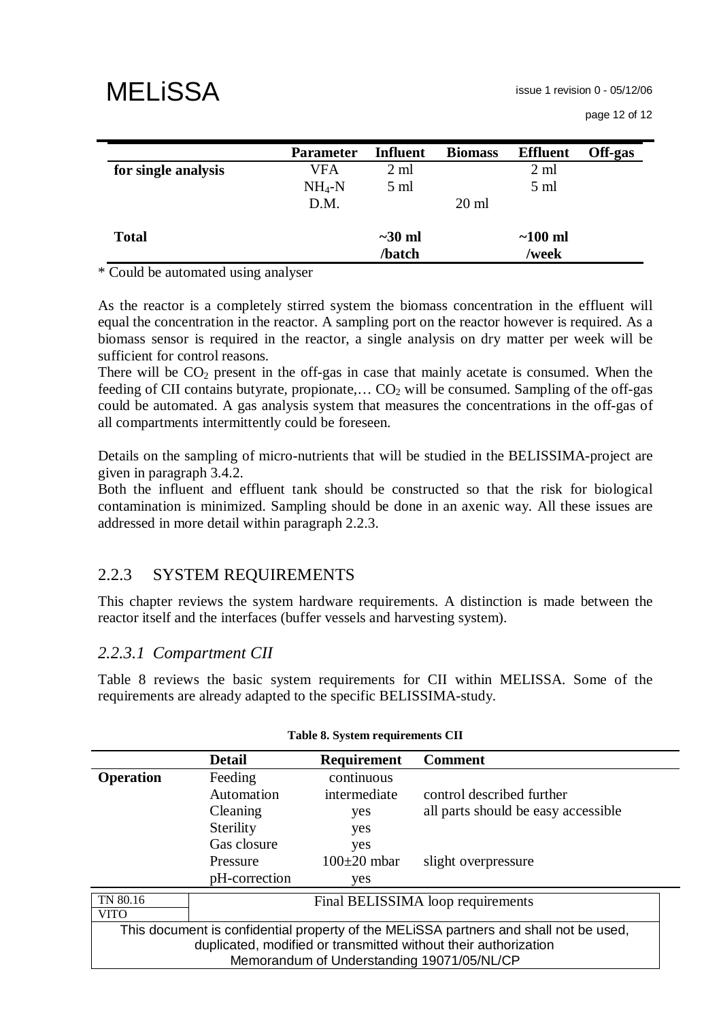|                     | <b>Parameter</b> | <b>Influent</b>        | <b>Biomass</b>  | <b>Effluent</b>    | Off-gas |
|---------------------|------------------|------------------------|-----------------|--------------------|---------|
| for single analysis | VFA              | $2 \text{ ml}$         |                 | $2 \text{ ml}$     |         |
|                     | $NH_4-N$         | $5 \text{ ml}$         |                 | $5 \text{ ml}$     |         |
|                     | D.M.             |                        | $20 \text{ ml}$ |                    |         |
| <b>Total</b>        |                  | $\sim$ 30 ml<br>/batch |                 | $~100$ ml<br>/week |         |

\* Could be automated using analyser

As the reactor is a completely stirred system the biomass concentration in the effluent will equal the concentration in the reactor. A sampling port on the reactor however is required. As a biomass sensor is required in the reactor, a single analysis on dry matter per week will be sufficient for control reasons.

There will be  $CO<sub>2</sub>$  present in the off-gas in case that mainly acetate is consumed. When the feeding of CII contains butyrate, propionate,...  $CO<sub>2</sub>$  will be consumed. Sampling of the off-gas could be automated. A gas analysis system that measures the concentrations in the off-gas of all compartments intermittently could be foreseen.

Details on the sampling of micro-nutrients that will be studied in the BELISSIMA-project are given in paragraph 3.4.2.

Both the influent and effluent tank should be constructed so that the risk for biological contamination is minimized. Sampling should be done in an axenic way. All these issues are addressed in more detail within paragraph 2.2.3.

### 2.2.3 SYSTEM REQUIREMENTS

This chapter reviews the system hardware requirements. A distinction is made between the reactor itself and the interfaces (buffer vessels and harvesting system).

### *2.2.3.1 Compartment CII*

Table 8 reviews the basic system requirements for CII within MELISSA. Some of the requirements are already adapted to the specific BELISSIMA-study.

|                  | <b>Detail</b>                                                   | <b>Requirement</b> | <b>Comment</b>                                                                        |  |  |
|------------------|-----------------------------------------------------------------|--------------------|---------------------------------------------------------------------------------------|--|--|
| <b>Operation</b> | Feeding                                                         | continuous         |                                                                                       |  |  |
|                  | Automation                                                      | intermediate       | control described further                                                             |  |  |
|                  | Cleaning                                                        | yes                | all parts should be easy accessible                                                   |  |  |
|                  | Sterility                                                       | yes                |                                                                                       |  |  |
|                  | Gas closure                                                     | yes                |                                                                                       |  |  |
|                  | Pressure                                                        | $100\pm20$ mbar    | slight overpressure                                                                   |  |  |
|                  | pH-correction                                                   | yes                |                                                                                       |  |  |
| TN 80.16         |                                                                 |                    | Final BELISSIMA loop requirements                                                     |  |  |
| VITO             |                                                                 |                    |                                                                                       |  |  |
|                  |                                                                 |                    | This document is confidential property of the MELISSA partners and shall not be used, |  |  |
|                  | duplicated, modified or transmitted without their authorization |                    |                                                                                       |  |  |
|                  |                                                                 |                    | Memorandum of Understanding 19071/05/NL/CP                                            |  |  |

|  | Table 8. System requirements CII |  |
|--|----------------------------------|--|
|  |                                  |  |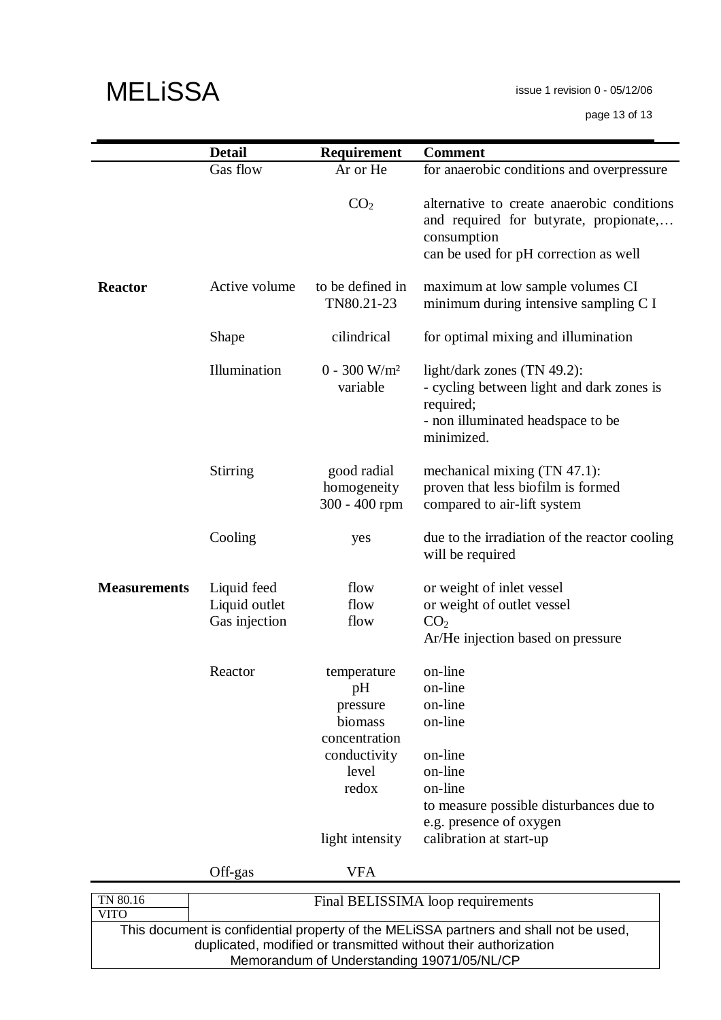issue 1 revision 0 - 05/12/06

page 13 of 13

|                         | <b>Detail</b>                                 | Requirement                                                                                                    | <b>Comment</b>                                                                                                                                                             |
|-------------------------|-----------------------------------------------|----------------------------------------------------------------------------------------------------------------|----------------------------------------------------------------------------------------------------------------------------------------------------------------------------|
|                         | Gas flow                                      | Ar or He                                                                                                       | for anaerobic conditions and overpressure                                                                                                                                  |
|                         |                                               | CO <sub>2</sub>                                                                                                | alternative to create anaerobic conditions<br>and required for butyrate, propionate,<br>consumption<br>can be used for pH correction as well                               |
| <b>Reactor</b>          | Active volume                                 | to be defined in<br>TN80.21-23                                                                                 | maximum at low sample volumes CI<br>minimum during intensive sampling C I                                                                                                  |
|                         | Shape                                         | cilindrical                                                                                                    | for optimal mixing and illumination                                                                                                                                        |
|                         | Illumination                                  | $0 - 300$ W/m <sup>2</sup><br>variable                                                                         | light/dark zones (TN 49.2):<br>- cycling between light and dark zones is<br>required;<br>- non illuminated headspace to be<br>minimized.                                   |
|                         | <b>Stirring</b>                               | good radial<br>homogeneity<br>300 - 400 rpm                                                                    | mechanical mixing (TN 47.1):<br>proven that less biofilm is formed<br>compared to air-lift system                                                                          |
|                         | Cooling                                       | yes                                                                                                            | due to the irradiation of the reactor cooling<br>will be required                                                                                                          |
| <b>Measurements</b>     | Liquid feed<br>Liquid outlet<br>Gas injection | flow<br>flow<br>flow                                                                                           | or weight of inlet vessel<br>or weight of outlet vessel<br>CO <sub>2</sub><br>Ar/He injection based on pressure                                                            |
|                         | Reactor                                       | temperature<br>pH<br>pressure<br>biomass<br>concentration<br>conductivity<br>level<br>redox<br>light intensity | on-line<br>on-line<br>on-line<br>on-line<br>on-line<br>on-line<br>on-line<br>to measure possible disturbances due to<br>e.g. presence of oxygen<br>calibration at start-up |
|                         | Off-gas                                       | <b>VFA</b>                                                                                                     |                                                                                                                                                                            |
| TN 80.16<br><b>VITO</b> |                                               |                                                                                                                | Final BELISSIMA loop requirements                                                                                                                                          |
|                         |                                               |                                                                                                                | This document is confidential property of the MELiSSA partners and shall not be used,                                                                                      |
|                         |                                               | Memorandum of Understanding 19071/05/NL/CP                                                                     | duplicated, modified or transmitted without their authorization                                                                                                            |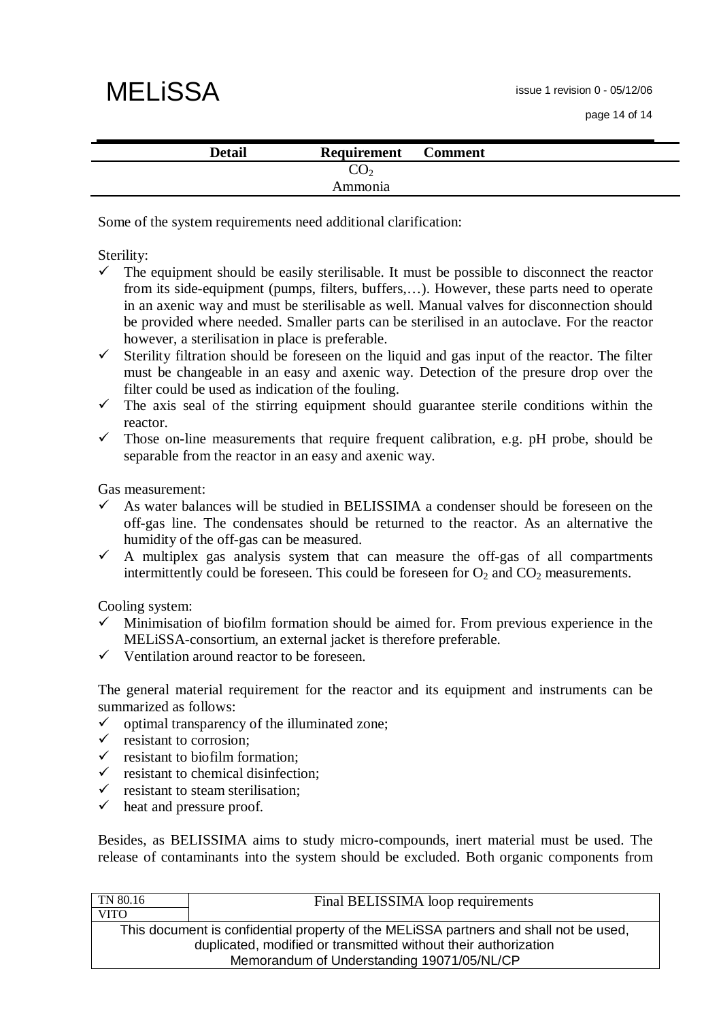issue 1 revision 0 - 05/12/06

# **MELISSA**

| <b>Detail</b> | <b>Requirement</b> | <b>Comment</b> |  |
|---------------|--------------------|----------------|--|
|               | UU.                |                |  |
|               | Ammonia            |                |  |

Some of the system requirements need additional clarification:

Sterility:

- $\checkmark$  The equipment should be easily sterilisable. It must be possible to disconnect the reactor from its side-equipment (pumps, filters, buffers,…). However, these parts need to operate in an axenic way and must be sterilisable as well. Manual valves for disconnection should be provided where needed. Smaller parts can be sterilised in an autoclave. For the reactor however, a sterilisation in place is preferable.
- $\checkmark$  Sterility filtration should be foreseen on the liquid and gas input of the reactor. The filter must be changeable in an easy and axenic way. Detection of the presure drop over the filter could be used as indication of the fouling.
- $\checkmark$  The axis seal of the stirring equipment should guarantee sterile conditions within the reactor.
- $\checkmark$  Those on-line measurements that require frequent calibration, e.g. pH probe, should be separable from the reactor in an easy and axenic way.

Gas measurement:

- $\checkmark$  As water balances will be studied in BELISSIMA a condenser should be foreseen on the off-gas line. The condensates should be returned to the reactor. As an alternative the humidity of the off-gas can be measured.
- $\checkmark$  A multiplex gas analysis system that can measure the off-gas of all compartments intermittently could be foreseen. This could be foreseen for  $O_2$  and  $CO_2$  measurements.

Cooling system:

- $\checkmark$  Minimisation of biofilm formation should be aimed for. From previous experience in the MELiSSA-consortium, an external jacket is therefore preferable.
- $\checkmark$  Ventilation around reactor to be foreseen.

The general material requirement for the reactor and its equipment and instruments can be summarized as follows:

- $\checkmark$  optimal transparency of the illuminated zone;
- $\checkmark$  resistant to corrosion;
- $\checkmark$  resistant to biofilm formation:
- $\checkmark$  resistant to chemical disinfection;
- resistant to steam sterilisation;
- $\checkmark$  heat and pressure proof.

Besides, as BELISSIMA aims to study micro-compounds, inert material must be used. The release of contaminants into the system should be excluded. Both organic components from

| TN 80.16    | Final BELISSIMA loop requirements                                                                                                                                                                      |
|-------------|--------------------------------------------------------------------------------------------------------------------------------------------------------------------------------------------------------|
| <b>VITO</b> |                                                                                                                                                                                                        |
|             | This document is confidential property of the MELISSA partners and shall not be used,<br>duplicated, modified or transmitted without their authorization<br>Memorandum of Understanding 19071/05/NL/CP |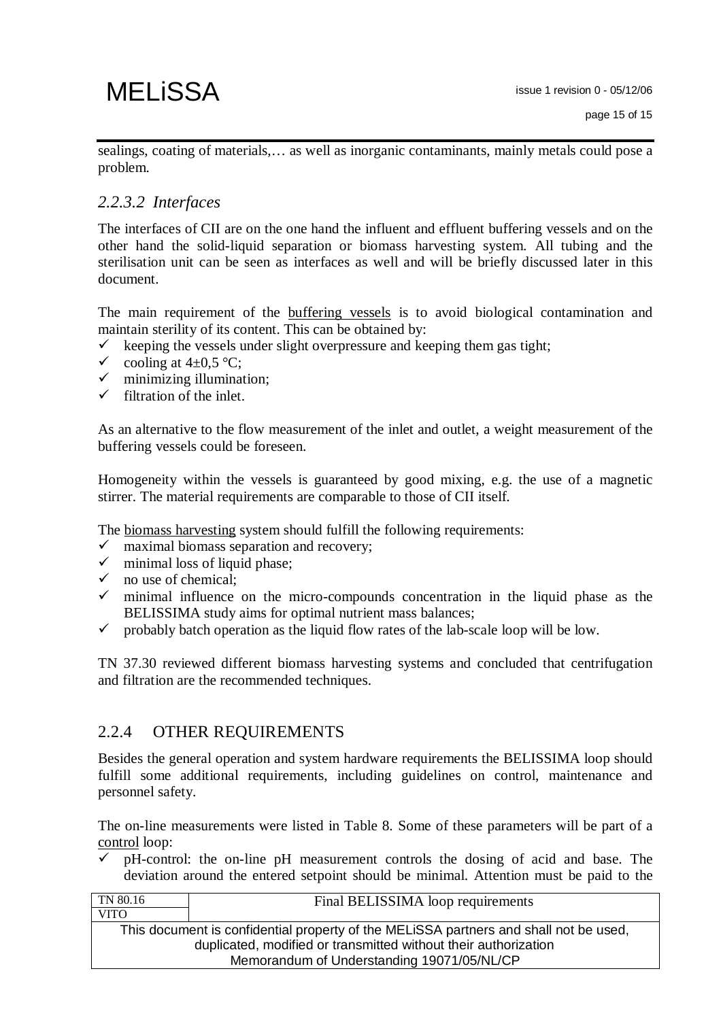sealings, coating of materials,… as well as inorganic contaminants, mainly metals could pose a problem.

### *2.2.3.2 Interfaces*

The interfaces of CII are on the one hand the influent and effluent buffering vessels and on the other hand the solid-liquid separation or biomass harvesting system. All tubing and the sterilisation unit can be seen as interfaces as well and will be briefly discussed later in this document.

The main requirement of the buffering vessels is to avoid biological contamination and maintain sterility of its content. This can be obtained by:

- $\checkmark$  keeping the vessels under slight overpressure and keeping them gas tight;
- $\checkmark$  cooling at 4±0,5 °C;
- $\checkmark$  minimizing illumination;
- $\checkmark$  filtration of the inlet.

As an alternative to the flow measurement of the inlet and outlet, a weight measurement of the buffering vessels could be foreseen.

Homogeneity within the vessels is guaranteed by good mixing, e.g. the use of a magnetic stirrer. The material requirements are comparable to those of CII itself.

The biomass harvesting system should fulfill the following requirements:

- $\checkmark$  maximal biomass separation and recovery;
- $\checkmark$  minimal loss of liquid phase;
- $\checkmark$  no use of chemical:
- $\checkmark$  minimal influence on the micro-compounds concentration in the liquid phase as the BELISSIMA study aims for optimal nutrient mass balances;
- $\checkmark$  probably batch operation as the liquid flow rates of the lab-scale loop will be low.

TN 37.30 reviewed different biomass harvesting systems and concluded that centrifugation and filtration are the recommended techniques.

### 2.2.4 OTHER REQUIREMENTS

Besides the general operation and system hardware requirements the BELISSIMA loop should fulfill some additional requirements, including guidelines on control, maintenance and personnel safety.

The on-line measurements were listed in Table 8. Some of these parameters will be part of a control loop:

 $\checkmark$  pH-control: the on-line pH measurement controls the dosing of acid and base. The deviation around the entered setpoint should be minimal. Attention must be paid to the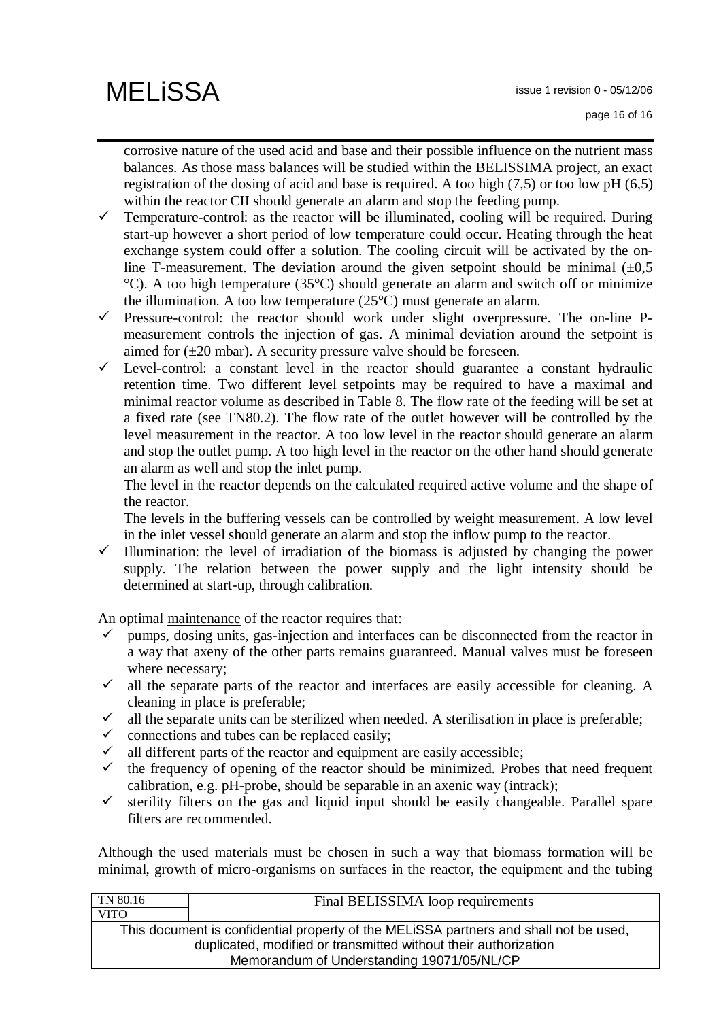corrosive nature of the used acid and base and their possible influence on the nutrient mass balances. As those mass balances will be studied within the BELISSIMA project, an exact registration of the dosing of acid and base is required. A too high (7,5) or too low pH (6,5) within the reactor CII should generate an alarm and stop the feeding pump.

- $\checkmark$  Temperature-control: as the reactor will be illuminated, cooling will be required. During start-up however a short period of low temperature could occur. Heating through the heat exchange system could offer a solution. The cooling circuit will be activated by the online T-measurement. The deviation around the given setpoint should be minimal  $(\pm 0.5)$ °C). A too high temperature (35°C) should generate an alarm and switch off or minimize the illumination. A too low temperature (25°C) must generate an alarm.
- $\checkmark$  Pressure-control: the reactor should work under slight overpressure. The on-line Pmeasurement controls the injection of gas. A minimal deviation around the setpoint is aimed for  $(\pm 20 \text{ mbar})$ . A security pressure valve should be foreseen.
- $\checkmark$  Level-control: a constant level in the reactor should guarantee a constant hydraulic retention time. Two different level setpoints may be required to have a maximal and minimal reactor volume as described in Table 8. The flow rate of the feeding will be set at a fixed rate (see TN80.2). The flow rate of the outlet however will be controlled by the level measurement in the reactor. A too low level in the reactor should generate an alarm and stop the outlet pump. A too high level in the reactor on the other hand should generate an alarm as well and stop the inlet pump.

The level in the reactor depends on the calculated required active volume and the shape of the reactor.

The levels in the buffering vessels can be controlled by weight measurement. A low level in the inlet vessel should generate an alarm and stop the inflow pump to the reactor.

 $\checkmark$  Illumination: the level of irradiation of the biomass is adjusted by changing the power supply. The relation between the power supply and the light intensity should be determined at start-up, through calibration.

An optimal maintenance of the reactor requires that:

- $\checkmark$  pumps, dosing units, gas-injection and interfaces can be disconnected from the reactor in a way that axeny of the other parts remains guaranteed. Manual valves must be foreseen where necessary;
- $\checkmark$  all the separate parts of the reactor and interfaces are easily accessible for cleaning. A cleaning in place is preferable;
- $\checkmark$  all the separate units can be sterilized when needed. A sterilisation in place is preferable;
- $\checkmark$  connections and tubes can be replaced easily;
- $\checkmark$  all different parts of the reactor and equipment are easily accessible;
- $\checkmark$  the frequency of opening of the reactor should be minimized. Probes that need frequent calibration, e.g. pH-probe, should be separable in an axenic way (intrack);
- $\checkmark$  sterility filters on the gas and liquid input should be easily changeable. Parallel spare filters are recommended.

Although the used materials must be chosen in such a way that biomass formation will be minimal, growth of micro-organisms on surfaces in the reactor, the equipment and the tubing

| Final BELISSIMA loop requirements                                                     |  |  |
|---------------------------------------------------------------------------------------|--|--|
|                                                                                       |  |  |
| This document is confidential property of the MELISSA partners and shall not be used, |  |  |
| duplicated, modified or transmitted without their authorization                       |  |  |
| Memorandum of Understanding 19071/05/NL/CP                                            |  |  |
|                                                                                       |  |  |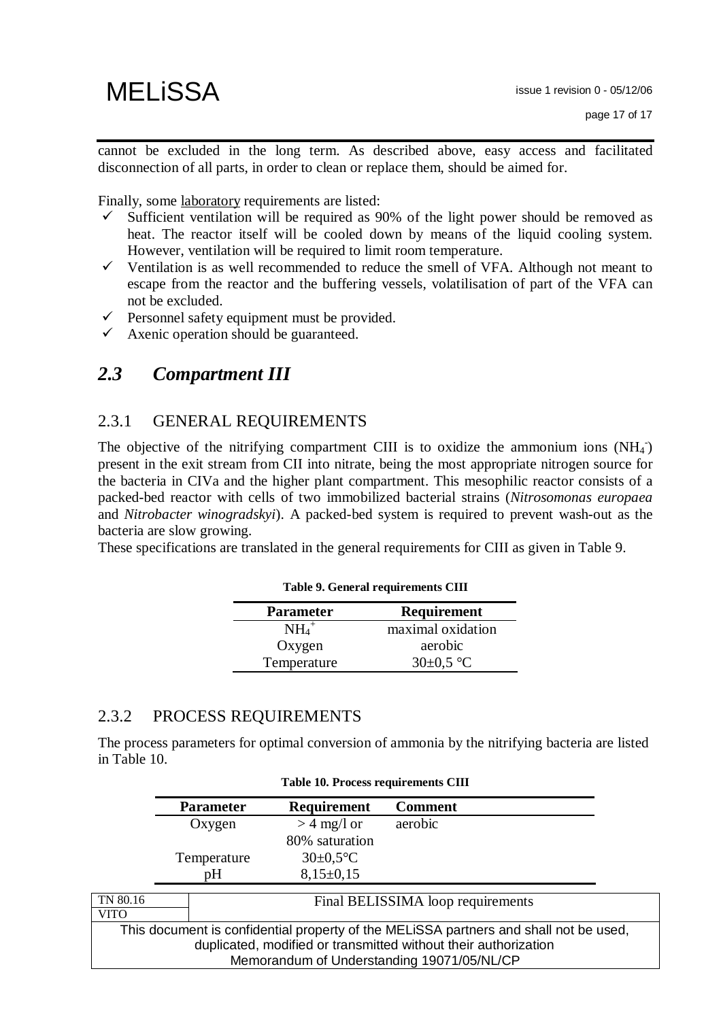cannot be excluded in the long term. As described above, easy access and facilitated disconnection of all parts, in order to clean or replace them, should be aimed for.

Finally, some laboratory requirements are listed:

- Sufficient ventilation will be required as 90% of the light power should be removed as heat. The reactor itself will be cooled down by means of the liquid cooling system. However, ventilation will be required to limit room temperature.
- $\checkmark$  Ventilation is as well recommended to reduce the smell of VFA. Although not meant to escape from the reactor and the buffering vessels, volatilisation of part of the VFA can not be excluded.
- $\checkmark$  Personnel safety equipment must be provided.
- $\checkmark$  Axenic operation should be guaranteed.

## *2.3 Compartment III*

### 2.3.1 GENERAL REQUIREMENTS

The objective of the nitrifying compartment CIII is to oxidize the ammonium ions  $(NH<sub>4</sub>)$ present in the exit stream from CII into nitrate, being the most appropriate nitrogen source for the bacteria in CIVa and the higher plant compartment. This mesophilic reactor consists of a packed-bed reactor with cells of two immobilized bacterial strains (*Nitrosomonas europaea* and *Nitrobacter winogradskyi*). A packed-bed system is required to prevent wash-out as the bacteria are slow growing.

These specifications are translated in the general requirements for CIII as given in Table 9.

| <b>Parameter</b> | Requirement       |
|------------------|-------------------|
| $NH4+$           | maximal oxidation |
| Oxygen           | aerobic           |
| Temperature      | $30\pm0.5$ °C     |

#### **Table 9. General requirements CIII**

### 2.3.2 PROCESS REQUIREMENTS

The process parameters for optimal conversion of ammonia by the nitrifying bacteria are listed in Table 10.

**Table 10. Process requirements CIII** 

|             | <b>Parameter</b> | Requirement     | <b>Comment</b>                                                                        |
|-------------|------------------|-----------------|---------------------------------------------------------------------------------------|
|             | Oxygen           | $>$ 4 mg/l or   | aerobic                                                                               |
|             |                  | 80% saturation  |                                                                                       |
|             | Temperature      | $30 \pm 0.5$ °C |                                                                                       |
|             | pH               | $8,15\pm0,15$   |                                                                                       |
|             |                  |                 |                                                                                       |
| TN 80.16    |                  |                 | Final BELISSIMA loop requirements                                                     |
| <b>VITO</b> |                  |                 |                                                                                       |
|             |                  |                 | This document is confidential property of the MELiSSA partners and shall not be used, |
|             |                  |                 | duplicated, modified or transmitted without their authorization                       |
|             |                  |                 | Memorandum of Understanding 19071/05/NL/CP                                            |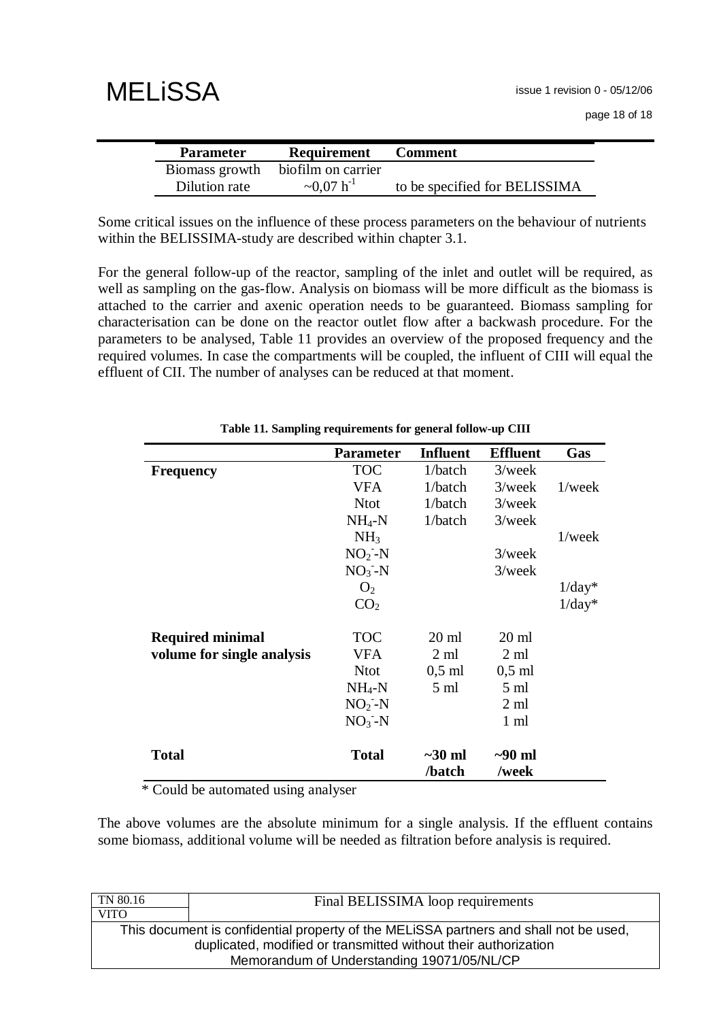| <b>MELISSA</b> |  |
|----------------|--|
|----------------|--|

| <b>Parameter</b> | Requirement        | <b>Comment</b>                |
|------------------|--------------------|-------------------------------|
| Biomass growth   | biofilm on carrier |                               |
| Dilution rate    | $\sim 0.07 h^{-1}$ | to be specified for BELISSIMA |

Some critical issues on the influence of these process parameters on the behaviour of nutrients within the BELISSIMA-study are described within chapter 3.1.

For the general follow-up of the reactor, sampling of the inlet and outlet will be required, as well as sampling on the gas-flow. Analysis on biomass will be more difficult as the biomass is attached to the carrier and axenic operation needs to be guaranteed. Biomass sampling for characterisation can be done on the reactor outlet flow after a backwash procedure. For the parameters to be analysed, Table 11 provides an overview of the proposed frequency and the required volumes. In case the compartments will be coupled, the influent of CIII will equal the effluent of CII. The number of analyses can be reduced at that moment.

|                            | <b>Parameter</b> | <b>Influent</b>        | <b>Effluent</b>       | Gas       |
|----------------------------|------------------|------------------------|-----------------------|-----------|
| <b>Frequency</b>           | <b>TOC</b>       | 1/batch                | $3$ /week             |           |
|                            | <b>VFA</b>       | 1/batch                | $3$ /week             | $1$ /week |
|                            | <b>Ntot</b>      | 1/batch                | $3$ /week             |           |
|                            | $NH_4-N$         | 1/batch                | $3$ /week             |           |
|                            | NH <sub>3</sub>  |                        |                       | $1$ /week |
|                            | $NO2-N$          |                        | $3$ /week             |           |
|                            | $NO3-N$          |                        | $3$ /week             |           |
|                            | O <sub>2</sub>   |                        |                       | $1/day*$  |
|                            | CO <sub>2</sub>  |                        |                       | $1/day^*$ |
| <b>Required minimal</b>    | <b>TOC</b>       | $20 \text{ ml}$        | $20 \text{ ml}$       |           |
| volume for single analysis | <b>VFA</b>       | $2 \text{ ml}$         | 2 ml                  |           |
|                            | <b>Ntot</b>      | $0,5$ ml               | $0,5$ ml              |           |
|                            | $NH_4-N$         | $5 \text{ ml}$         | $5 \text{ ml}$        |           |
|                            | $NO2$ -N         |                        | $2 \text{ ml}$        |           |
|                            | $NO3-N$          |                        | $1 \text{ ml}$        |           |
| Total                      | <b>Total</b>     | $\sim$ 30 ml<br>/batch | $\sim 90$ ml<br>/week |           |

**Table 11. Sampling requirements for general follow-up CIII** 

\* Could be automated using analyser

The above volumes are the absolute minimum for a single analysis. If the effluent contains some biomass, additional volume will be needed as filtration before analysis is required.

| Final BELISSIMA loop requirements                                                     |  |  |
|---------------------------------------------------------------------------------------|--|--|
|                                                                                       |  |  |
| This document is confidential property of the MELISSA partners and shall not be used, |  |  |
| duplicated, modified or transmitted without their authorization                       |  |  |
| Memorandum of Understanding 19071/05/NL/CP                                            |  |  |
|                                                                                       |  |  |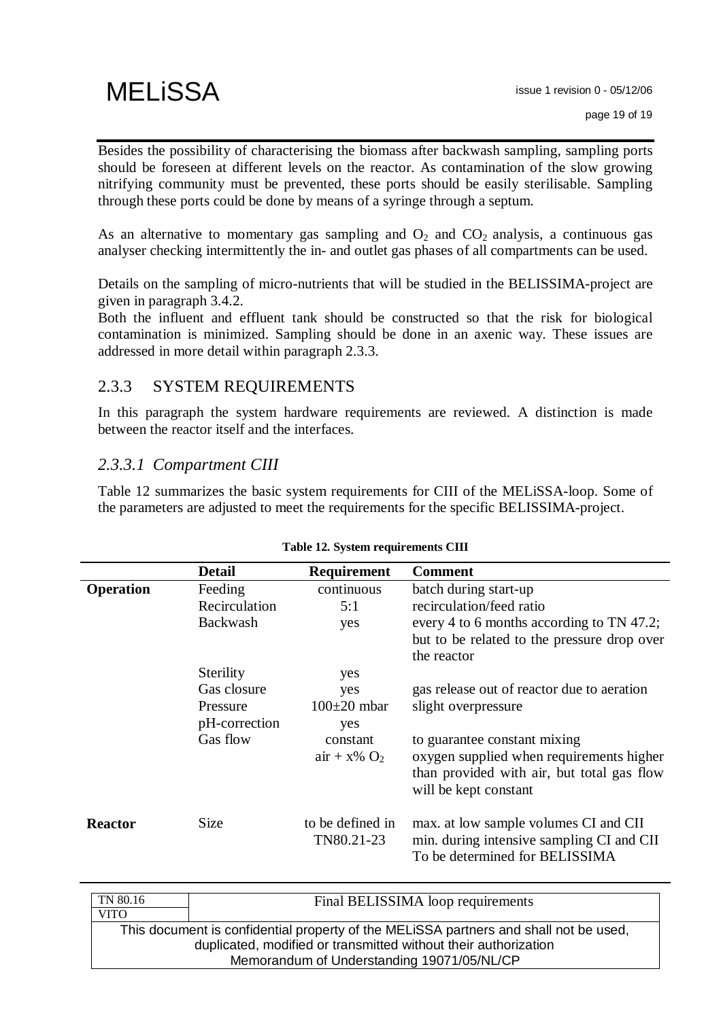Besides the possibility of characterising the biomass after backwash sampling, sampling ports should be foreseen at different levels on the reactor. As contamination of the slow growing nitrifying community must be prevented, these ports should be easily sterilisable. Sampling through these ports could be done by means of a syringe through a septum.

As an alternative to momentary gas sampling and  $O_2$  and  $CO_2$  analysis, a continuous gas analyser checking intermittently the in- and outlet gas phases of all compartments can be used.

Details on the sampling of micro-nutrients that will be studied in the BELISSIMA-project are given in paragraph 3.4.2.

Both the influent and effluent tank should be constructed so that the risk for biological contamination is minimized. Sampling should be done in an axenic way. These issues are addressed in more detail within paragraph 2.3.3.

### 2.3.3 SYSTEM REQUIREMENTS

In this paragraph the system hardware requirements are reviewed. A distinction is made between the reactor itself and the interfaces.

### *2.3.3.1 Compartment CIII*

Table 12 summarizes the basic system requirements for CIII of the MELiSSA-loop. Some of the parameters are adjusted to meet the requirements for the specific BELISSIMA-project.

|                  | <b>Detail</b>                                                     | Requirement                                                                    | <b>Comment</b>                                                                                                                                                                                                       |
|------------------|-------------------------------------------------------------------|--------------------------------------------------------------------------------|----------------------------------------------------------------------------------------------------------------------------------------------------------------------------------------------------------------------|
| <b>Operation</b> | Feeding<br>Recirculation<br>Backwash                              | continuous<br>5:1<br>yes                                                       | batch during start-up<br>recirculation/feed ratio<br>every 4 to 6 months according to TN 47.2;<br>but to be related to the pressure drop over<br>the reactor                                                         |
|                  | Sterility<br>Gas closure<br>Pressure<br>pH-correction<br>Gas flow | yes<br>yes<br>$100\pm20$ mbar<br>yes<br>constant<br>$air + x\%$ O <sub>2</sub> | gas release out of reactor due to aeration<br>slight overpressure<br>to guarantee constant mixing<br>oxygen supplied when requirements higher<br>than provided with air, but total gas flow<br>will be kept constant |
| <b>Reactor</b>   | <b>Size</b>                                                       | to be defined in<br>TN80.21-23                                                 | max. at low sample volumes CI and CII<br>min. during intensive sampling CI and CII<br>To be determined for BELISSIMA                                                                                                 |
| $T1 + 0.0 + c$   |                                                                   |                                                                                |                                                                                                                                                                                                                      |

#### **Table 12. System requirements CIII**

| TN 80.16                                                                              | Final BELISSIMA loop requirements          |  |
|---------------------------------------------------------------------------------------|--------------------------------------------|--|
| <b>VITO</b>                                                                           |                                            |  |
| This document is confidential property of the MELISSA partners and shall not be used, |                                            |  |
| duplicated, modified or transmitted without their authorization                       |                                            |  |
|                                                                                       | Memorandum of Understanding 19071/05/NL/CP |  |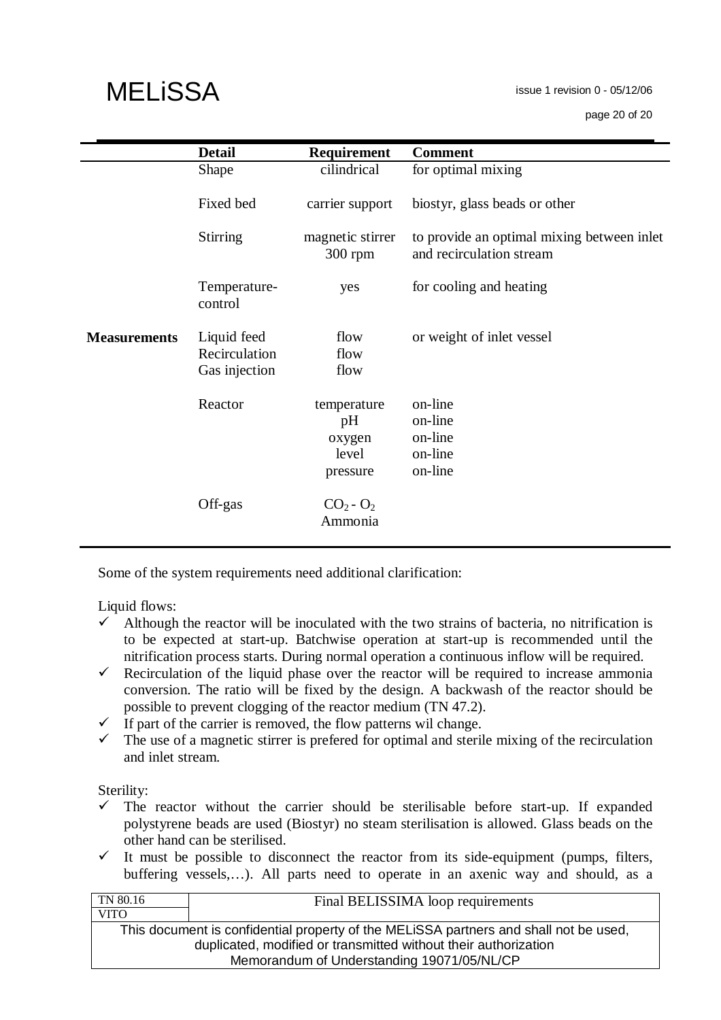issue 1 revision 0 - 05/12/06

page 20 of 20

|                     | <b>Detail</b>                                 | <b>Requirement</b>                               | <b>Comment</b>                                                         |
|---------------------|-----------------------------------------------|--------------------------------------------------|------------------------------------------------------------------------|
|                     | Shape                                         | cilindrical                                      | for optimal mixing                                                     |
|                     | Fixed bed                                     | carrier support                                  | biostyr, glass beads or other                                          |
|                     | <b>Stirring</b>                               | magnetic stirrer<br>$300$ rpm                    | to provide an optimal mixing between inlet<br>and recirculation stream |
|                     | Temperature-<br>control                       | yes                                              | for cooling and heating                                                |
| <b>Measurements</b> | Liquid feed<br>Recirculation<br>Gas injection | flow<br>flow<br>flow                             | or weight of inlet vessel                                              |
|                     | Reactor                                       | temperature<br>pH<br>oxygen<br>level<br>pressure | on-line<br>on-line<br>on-line<br>on-line<br>on-line                    |
|                     | Off-gas                                       | $CO2 - O2$<br>Ammonia                            |                                                                        |

Some of the system requirements need additional clarification:

Liquid flows:

- $\checkmark$  Although the reactor will be inoculated with the two strains of bacteria, no nitrification is to be expected at start-up. Batchwise operation at start-up is recommended until the nitrification process starts. During normal operation a continuous inflow will be required.
- Recirculation of the liquid phase over the reactor will be required to increase ammonia conversion. The ratio will be fixed by the design. A backwash of the reactor should be possible to prevent clogging of the reactor medium (TN 47.2).
- $\checkmark$  If part of the carrier is removed, the flow patterns wil change.<br> $\checkmark$  The use of a magnetic stirrer is prefered for optimal and steril
- The use of a magnetic stirrer is prefered for optimal and sterile mixing of the recirculation and inlet stream.

Sterility:

- $\checkmark$  The reactor without the carrier should be sterilisable before start-up. If expanded polystyrene beads are used (Biostyr) no steam sterilisation is allowed. Glass beads on the other hand can be sterilised.
- $\checkmark$  It must be possible to disconnect the reactor from its side-equipment (pumps, filters, buffering vessels,…). All parts need to operate in an axenic way and should, as a

| Final BELISSIMA loop requirements                                                     |
|---------------------------------------------------------------------------------------|
|                                                                                       |
| This document is confidential property of the MELISSA partners and shall not be used, |
| duplicated, modified or transmitted without their authorization                       |
| Memorandum of Understanding 19071/05/NL/CP                                            |
|                                                                                       |

# **MELISSA**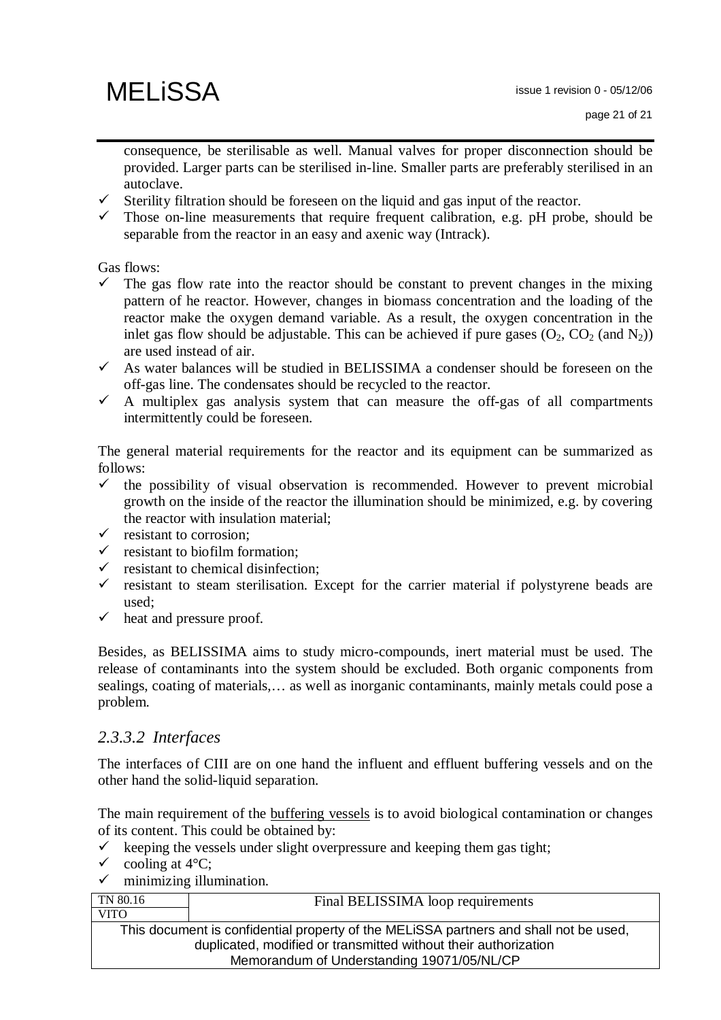consequence, be sterilisable as well. Manual valves for proper disconnection should be provided. Larger parts can be sterilised in-line. Smaller parts are preferably sterilised in an autoclave.

- $\checkmark$  Sterility filtration should be foreseen on the liquid and gas input of the reactor.
- $\checkmark$  Those on-line measurements that require frequent calibration, e.g. pH probe, should be separable from the reactor in an easy and axenic way (Intrack).

Gas flows:

- The gas flow rate into the reactor should be constant to prevent changes in the mixing pattern of he reactor. However, changes in biomass concentration and the loading of the reactor make the oxygen demand variable. As a result, the oxygen concentration in the inlet gas flow should be adjustable. This can be achieved if pure gases  $(O_2, CO_2 \text{ (and } N_2))$ are used instead of air.
- $\checkmark$  As water balances will be studied in BELISSIMA a condenser should be foreseen on the off-gas line. The condensates should be recycled to the reactor.
- $\checkmark$  A multiplex gas analysis system that can measure the off-gas of all compartments intermittently could be foreseen.

The general material requirements for the reactor and its equipment can be summarized as follows:

- $\checkmark$  the possibility of visual observation is recommended. However to prevent microbial growth on the inside of the reactor the illumination should be minimized, e.g. by covering the reactor with insulation material;
- $\checkmark$  resistant to corrosion:
- resistant to biofilm formation;
- $\checkmark$  resistant to chemical disinfection;<br> $\checkmark$  resistant to steam sterilisation F
- resistant to steam sterilisation. Except for the carrier material if polystyrene beads are used;
- $\checkmark$  heat and pressure proof.

Besides, as BELISSIMA aims to study micro-compounds, inert material must be used. The release of contaminants into the system should be excluded. Both organic components from sealings, coating of materials,… as well as inorganic contaminants, mainly metals could pose a problem.

### *2.3.3.2 Interfaces*

The interfaces of CIII are on one hand the influent and effluent buffering vessels and on the other hand the solid-liquid separation.

The main requirement of the buffering vessels is to avoid biological contamination or changes of its content. This could be obtained by:

- $\checkmark$  keeping the vessels under slight overpressure and keeping them gas tight;
- $\checkmark$  cooling at 4 $\mathrm{C}$ ;
- $\checkmark$  minimizing illumination.

| TN 80.16                                                        | Final BELISSIMA loop requirements                                                     |  |
|-----------------------------------------------------------------|---------------------------------------------------------------------------------------|--|
| <b>VITO</b>                                                     |                                                                                       |  |
|                                                                 | This document is confidential property of the MELISSA partners and shall not be used, |  |
| duplicated, modified or transmitted without their authorization |                                                                                       |  |
| Memorandum of Understanding 19071/05/NL/CP                      |                                                                                       |  |
|                                                                 |                                                                                       |  |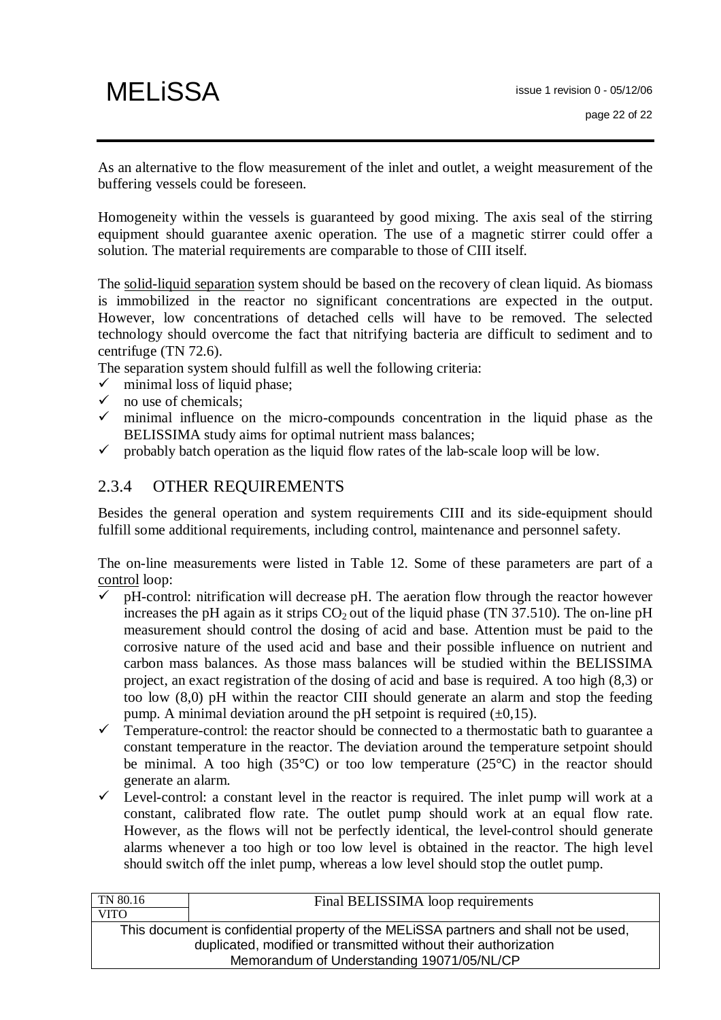As an alternative to the flow measurement of the inlet and outlet, a weight measurement of the buffering vessels could be foreseen.

Homogeneity within the vessels is guaranteed by good mixing. The axis seal of the stirring equipment should guarantee axenic operation. The use of a magnetic stirrer could offer a solution. The material requirements are comparable to those of CIII itself.

The solid-liquid separation system should be based on the recovery of clean liquid. As biomass is immobilized in the reactor no significant concentrations are expected in the output. However, low concentrations of detached cells will have to be removed. The selected technology should overcome the fact that nitrifying bacteria are difficult to sediment and to centrifuge (TN 72.6).

The separation system should fulfill as well the following criteria:

- $\checkmark$  minimal loss of liquid phase;<br> $\checkmark$  no use of chemicals:
- no use of chemicals;
- $\checkmark$  minimal influence on the micro-compounds concentration in the liquid phase as the BELISSIMA study aims for optimal nutrient mass balances:
- $\checkmark$  probably batch operation as the liquid flow rates of the lab-scale loop will be low.

### 2.3.4 OTHER REQUIREMENTS

Besides the general operation and system requirements CIII and its side-equipment should fulfill some additional requirements, including control, maintenance and personnel safety.

The on-line measurements were listed in Table 12. Some of these parameters are part of a control loop:

- $\checkmark$  pH-control: nitrification will decrease pH. The aeration flow through the reactor however increases the pH again as it strips  $CO<sub>2</sub>$  out of the liquid phase (TN 37.510). The on-line pH measurement should control the dosing of acid and base. Attention must be paid to the corrosive nature of the used acid and base and their possible influence on nutrient and carbon mass balances. As those mass balances will be studied within the BELISSIMA project, an exact registration of the dosing of acid and base is required. A too high (8,3) or too low (8,0) pH within the reactor CIII should generate an alarm and stop the feeding pump. A minimal deviation around the pH setpoint is required  $(\pm 0.15)$ .
- $\checkmark$  Temperature-control: the reactor should be connected to a thermostatic bath to guarantee a constant temperature in the reactor. The deviation around the temperature setpoint should be minimal. A too high (35 $^{\circ}$ C) or too low temperature (25 $^{\circ}$ C) in the reactor should generate an alarm.
- $\checkmark$  Level-control: a constant level in the reactor is required. The inlet pump will work at a constant, calibrated flow rate. The outlet pump should work at an equal flow rate. However, as the flows will not be perfectly identical, the level-control should generate alarms whenever a too high or too low level is obtained in the reactor. The high level should switch off the inlet pump, whereas a low level should stop the outlet pump.

| TN 80.16    | Final BELISSIMA loop requirements                                                                                                                                                                      |
|-------------|--------------------------------------------------------------------------------------------------------------------------------------------------------------------------------------------------------|
| <b>VITO</b> |                                                                                                                                                                                                        |
|             | This document is confidential property of the MELISSA partners and shall not be used,<br>duplicated, modified or transmitted without their authorization<br>Memorandum of Understanding 19071/05/NL/CP |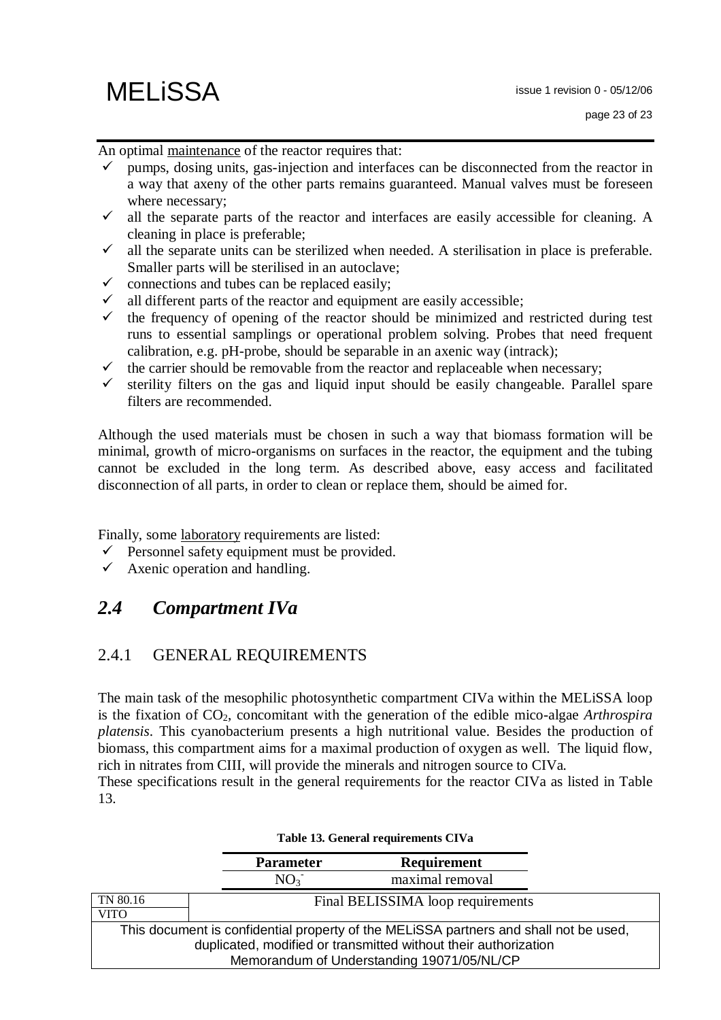An optimal maintenance of the reactor requires that:

- $\checkmark$  pumps, dosing units, gas-injection and interfaces can be disconnected from the reactor in a way that axeny of the other parts remains guaranteed. Manual valves must be foreseen where necessary;
- $\checkmark$  all the separate parts of the reactor and interfaces are easily accessible for cleaning. A cleaning in place is preferable;
- $\checkmark$  all the separate units can be sterilized when needed. A sterilisation in place is preferable. Smaller parts will be sterilised in an autoclave;
- $\checkmark$  connections and tubes can be replaced easily;
- $\checkmark$  all different parts of the reactor and equipment are easily accessible;
- $\checkmark$  the frequency of opening of the reactor should be minimized and restricted during test runs to essential samplings or operational problem solving. Probes that need frequent calibration, e.g. pH-probe, should be separable in an axenic way (intrack);
- $\checkmark$  the carrier should be removable from the reactor and replaceable when necessary;
- $\checkmark$  sterility filters on the gas and liquid input should be easily changeable. Parallel spare filters are recommended.

Although the used materials must be chosen in such a way that biomass formation will be minimal, growth of micro-organisms on surfaces in the reactor, the equipment and the tubing cannot be excluded in the long term. As described above, easy access and facilitated disconnection of all parts, in order to clean or replace them, should be aimed for.

Finally, some laboratory requirements are listed:

- $\checkmark$  Personnel safety equipment must be provided.
- $\checkmark$  Axenic operation and handling.

### *2.4 Compartment IVa*

### 2.4.1 GENERAL REQUIREMENTS

The main task of the mesophilic photosynthetic compartment CIVa within the MELiSSA loop is the fixation of CO2, concomitant with the generation of the edible mico-algae *Arthrospira platensis*. This cyanobacterium presents a high nutritional value. Besides the production of biomass, this compartment aims for a maximal production of oxygen as well. The liquid flow, rich in nitrates from CIII, will provide the minerals and nitrogen source to CIVa.

These specifications result in the general requirements for the reactor CIVa as listed in Table 13.

|             | <b>Parameter</b> | <b>Requirement</b>                                                                    |  |
|-------------|------------------|---------------------------------------------------------------------------------------|--|
|             | $NO_{3}$         | maximal removal                                                                       |  |
| TN 80.16    |                  | Final BELISSIMA loop requirements                                                     |  |
| <b>VITO</b> |                  |                                                                                       |  |
|             |                  | This document is confidential property of the MELISSA partners and shall not be used, |  |
|             |                  | duplicated, modified or transmitted without their authorization                       |  |
|             |                  | Memorandum of Understanding 19071/05/NL/CP                                            |  |

#### **Table 13. General requirements CIVa**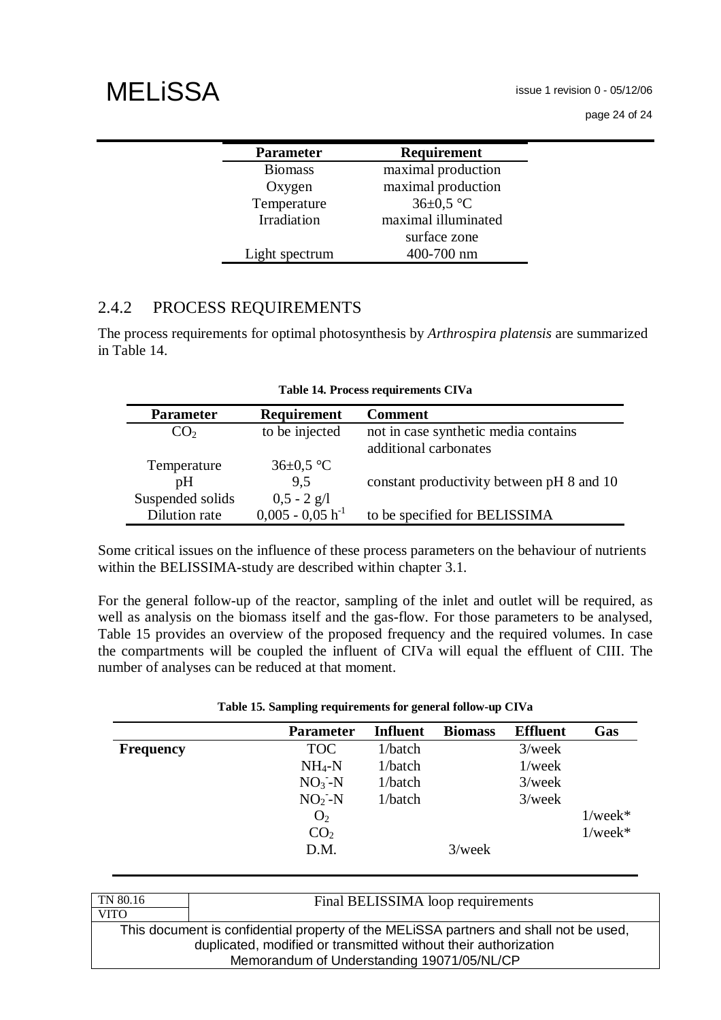issue 1 revision 0 - 05/12/06

page 24 of 24

| <b>Parameter</b> | Requirement         |
|------------------|---------------------|
| <b>Biomass</b>   | maximal production  |
| Oxygen           | maximal production  |
| Temperature      | $36\pm0.5$ °C       |
| Irradiation      | maximal illuminated |
|                  | surface zone        |
| Light spectrum   | 400-700 nm          |

### 2.4.2 PROCESS REQUIREMENTS

The process requirements for optimal photosynthesis by *Arthrospira platensis* are summarized in Table 14.

| <b>Parameter</b> | Requirement           | <b>Comment</b>                            |
|------------------|-----------------------|-------------------------------------------|
| $\rm{CO}_2$      | to be injected        | not in case synthetic media contains      |
|                  |                       | additional carbonates                     |
| Temperature      | $36\pm0.5$ °C         |                                           |
| pH               | 9.5                   | constant productivity between pH 8 and 10 |
| Suspended solids | $0,5 - 2$ g/l         |                                           |
| Dilution rate    | $0,005 - 0,05 h^{-1}$ | to be specified for BELISSIMA             |

|  |  | Table 14. Process requirements CIVa |  |
|--|--|-------------------------------------|--|
|--|--|-------------------------------------|--|

Some critical issues on the influence of these process parameters on the behaviour of nutrients within the BELISSIMA-study are described within chapter 3.1.

For the general follow-up of the reactor, sampling of the inlet and outlet will be required, as well as analysis on the biomass itself and the gas-flow. For those parameters to be analysed, Table 15 provides an overview of the proposed frequency and the required volumes. In case the compartments will be coupled the influent of CIVa will equal the effluent of CIII. The number of analyses can be reduced at that moment.

|  |  |  | Table 15. Sampling requirements for general follow-up CIVa |  |  |  |  |
|--|--|--|------------------------------------------------------------|--|--|--|--|
|--|--|--|------------------------------------------------------------|--|--|--|--|

|                  | <b>Parameter</b> | <b>Influent</b> | <b>Biomass</b> | <b>Effluent</b> | Gas           |
|------------------|------------------|-----------------|----------------|-----------------|---------------|
| <b>Frequency</b> | <b>TOC</b>       | 1/batch         |                | $3$ /week       |               |
|                  | $NH_4-N$         | 1/batch         |                | $1$ /week       |               |
|                  | $NO3-N$          | 1/batch         |                | $3$ /week       |               |
|                  | $NO2-N$          | 1/batch         |                | $3$ /week       |               |
|                  | O <sub>2</sub>   |                 |                |                 | $1$ /week $*$ |
|                  | CO <sub>2</sub>  |                 |                |                 | $1$ /week $*$ |
|                  | D.M.             |                 | $3$ /week      |                 |               |

| TN 80.16                                                                              | Final BELISSIMA loop requirements                               |  |
|---------------------------------------------------------------------------------------|-----------------------------------------------------------------|--|
| <b>VITO</b>                                                                           |                                                                 |  |
| This document is confidential property of the MELISSA partners and shall not be used, |                                                                 |  |
|                                                                                       | duplicated, modified or transmitted without their authorization |  |
|                                                                                       | Memorandum of Understanding 19071/05/NL/CP                      |  |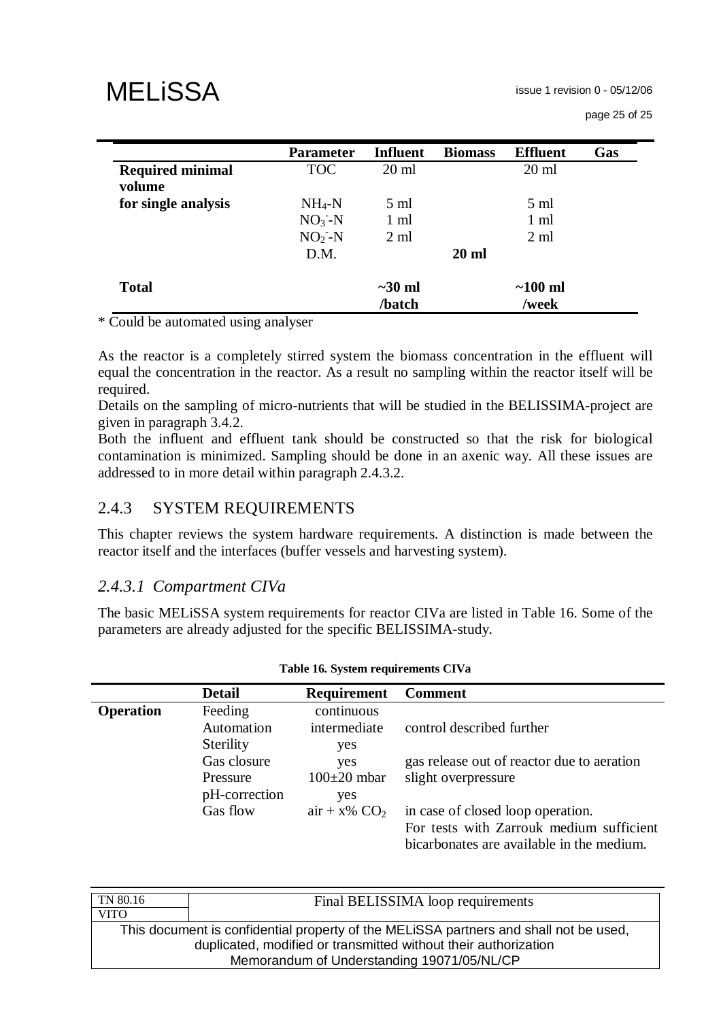page 25 of 25

|                                   | <b>Parameter</b> | <b>Influent</b> | <b>Biomass</b>  | <b>Effluent</b> | Gas |
|-----------------------------------|------------------|-----------------|-----------------|-----------------|-----|
| <b>Required minimal</b><br>volume | <b>TOC</b>       | $20 \text{ ml}$ |                 | $20 \text{ ml}$ |     |
| for single analysis               | $NH_4-N$         | $5 \text{ ml}$  |                 | $5 \text{ ml}$  |     |
|                                   | $NO3-N$          | 1 ml            |                 | $1 \text{ ml}$  |     |
|                                   | $NO2-N$          | $2 \text{ ml}$  |                 | $2 \text{ ml}$  |     |
|                                   | D.M.             |                 | $20 \text{ ml}$ |                 |     |
| <b>Total</b>                      |                  | $\sim$ 30 ml    |                 | $\sim$ 100 ml   |     |
|                                   |                  | /batch          |                 | /week           |     |

\* Could be automated using analyser

As the reactor is a completely stirred system the biomass concentration in the effluent will equal the concentration in the reactor. As a result no sampling within the reactor itself will be required.

Details on the sampling of micro-nutrients that will be studied in the BELISSIMA-project are given in paragraph 3.4.2.

Both the influent and effluent tank should be constructed so that the risk for biological contamination is minimized. Sampling should be done in an axenic way. All these issues are addressed to in more detail within paragraph 2.4.3.2.

### 2.4.3 SYSTEM REQUIREMENTS

This chapter reviews the system hardware requirements. A distinction is made between the reactor itself and the interfaces (buffer vessels and harvesting system).

#### *2.4.3.1 Compartment CIVa*

The basic MELiSSA system requirements for reactor CIVa are listed in Table 16. Some of the parameters are already adjusted for the specific BELISSIMA-study.

|                  | <b>Detail</b> | <b>Requirement</b> | <b>Comment</b>                                                                        |
|------------------|---------------|--------------------|---------------------------------------------------------------------------------------|
| <b>Operation</b> | Feeding       | continuous         |                                                                                       |
|                  | Automation    | intermediate       | control described further                                                             |
|                  | Sterility     | yes                |                                                                                       |
|                  | Gas closure   | yes                | gas release out of reactor due to aeration                                            |
|                  | Pressure      | $100\pm20$ mbar    | slight overpressure                                                                   |
|                  | pH-correction | yes                |                                                                                       |
|                  | Gas flow      | $air + x\% CO2$    | in case of closed loop operation.                                                     |
|                  |               |                    | For tests with Zarrouk medium sufficient<br>bicarbonates are available in the medium. |

#### **Table 16. System requirements CIVa**

| Final BELISSIMA loop requirements                                                     |  |  |
|---------------------------------------------------------------------------------------|--|--|
|                                                                                       |  |  |
| This document is confidential property of the MELISSA partners and shall not be used, |  |  |
| duplicated, modified or transmitted without their authorization                       |  |  |
| Memorandum of Understanding 19071/05/NL/CP                                            |  |  |
|                                                                                       |  |  |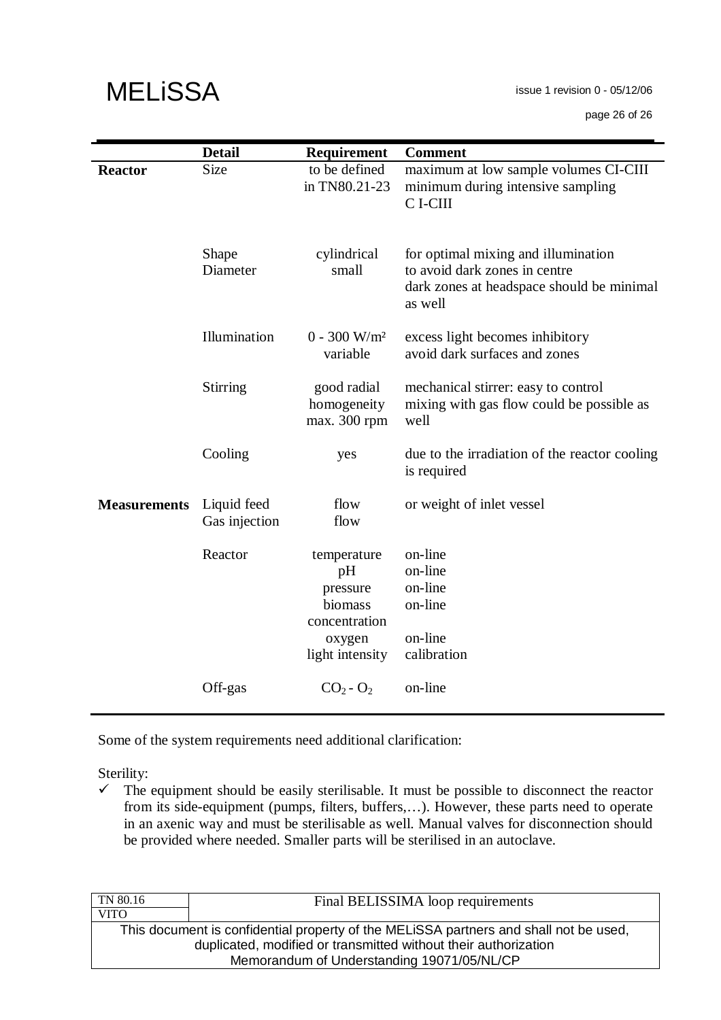|                     | <b>Detail</b>                | Requirement                                                                            | <b>Comment</b>                                                                                                               |
|---------------------|------------------------------|----------------------------------------------------------------------------------------|------------------------------------------------------------------------------------------------------------------------------|
| <b>Reactor</b>      | <b>Size</b>                  | to be defined<br>in TN80.21-23                                                         | maximum at low sample volumes CI-CIII<br>minimum during intensive sampling<br>C I-CIII                                       |
|                     | Shape<br>Diameter            | cylindrical<br>small                                                                   | for optimal mixing and illumination<br>to avoid dark zones in centre<br>dark zones at headspace should be minimal<br>as well |
|                     | Illumination                 | $0 - 300$ W/m <sup>2</sup><br>variable                                                 | excess light becomes inhibitory<br>avoid dark surfaces and zones                                                             |
|                     | Stirring                     | good radial<br>homogeneity<br>max. 300 rpm                                             | mechanical stirrer: easy to control<br>mixing with gas flow could be possible as<br>well                                     |
|                     | Cooling                      | yes                                                                                    | due to the irradiation of the reactor cooling<br>is required                                                                 |
| <b>Measurements</b> | Liquid feed<br>Gas injection | flow<br>flow                                                                           | or weight of inlet vessel                                                                                                    |
|                     | Reactor                      | temperature<br>pH<br>pressure<br>biomass<br>concentration<br>oxygen<br>light intensity | on-line<br>on-line<br>on-line<br>on-line<br>on-line<br>calibration                                                           |
|                     | Off-gas                      | $CO2 - O2$                                                                             | on-line                                                                                                                      |

Some of the system requirements need additional clarification:

Sterility:

 $\checkmark$  The equipment should be easily sterilisable. It must be possible to disconnect the reactor from its side-equipment (pumps, filters, buffers,…). However, these parts need to operate in an axenic way and must be sterilisable as well. Manual valves for disconnection should be provided where needed. Smaller parts will be sterilised in an autoclave.

| Final BELISSIMA loop requirements                                                     |  |  |
|---------------------------------------------------------------------------------------|--|--|
|                                                                                       |  |  |
| This document is confidential property of the MELISSA partners and shall not be used, |  |  |
| duplicated, modified or transmitted without their authorization                       |  |  |
| Memorandum of Understanding 19071/05/NL/CP                                            |  |  |
|                                                                                       |  |  |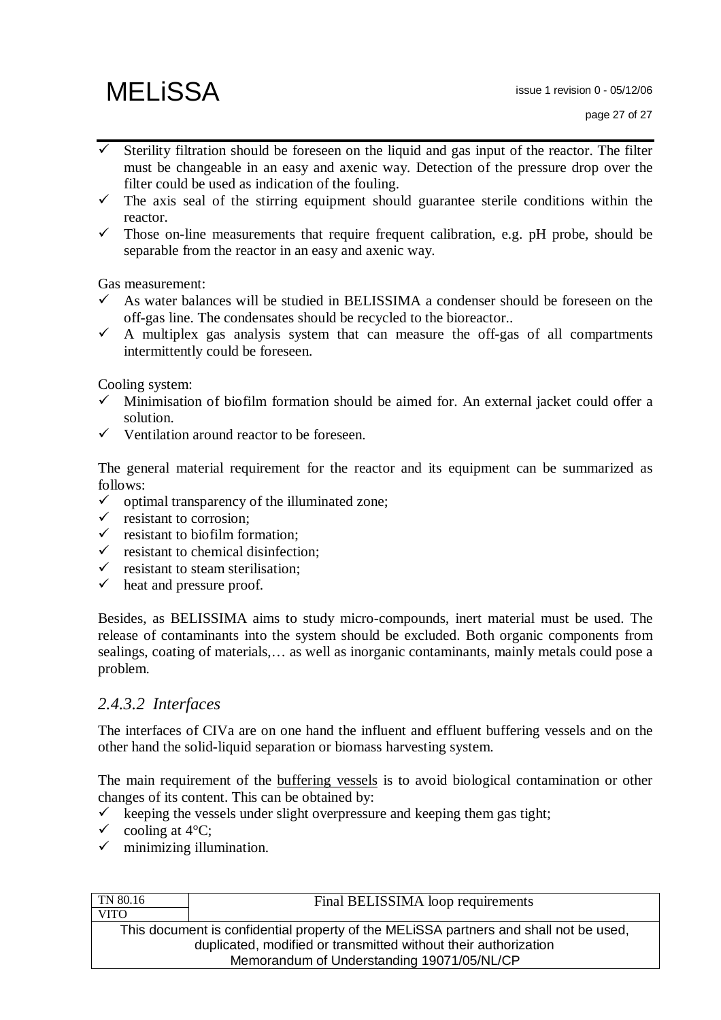- Sterility filtration should be foreseen on the liquid and gas input of the reactor. The filter must be changeable in an easy and axenic way. Detection of the pressure drop over the filter could be used as indication of the fouling.
- $\checkmark$  The axis seal of the stirring equipment should guarantee sterile conditions within the reactor.
- $\checkmark$  Those on-line measurements that require frequent calibration, e.g. pH probe, should be separable from the reactor in an easy and axenic way.

Gas measurement:

- $\checkmark$  As water balances will be studied in BELISSIMA a condenser should be foreseen on the off-gas line. The condensates should be recycled to the bioreactor..
- $\checkmark$  A multiplex gas analysis system that can measure the off-gas of all compartments intermittently could be foreseen.

Cooling system:

- $\checkmark$  Minimisation of biofilm formation should be aimed for. An external jacket could offer a solution.
- $\checkmark$  Ventilation around reactor to be foreseen.

The general material requirement for the reactor and its equipment can be summarized as follows:

- $\checkmark$  optimal transparency of the illuminated zone;
- $\checkmark$  resistant to corrosion;
- $\checkmark$  resistant to biofilm formation:
- $\checkmark$  resistant to chemical disinfection:
- $\checkmark$  resistant to steam sterilisation;
- $\checkmark$  heat and pressure proof.

Besides, as BELISSIMA aims to study micro-compounds, inert material must be used. The release of contaminants into the system should be excluded. Both organic components from sealings, coating of materials,… as well as inorganic contaminants, mainly metals could pose a problem.

#### *2.4.3.2 Interfaces*

The interfaces of CIVa are on one hand the influent and effluent buffering vessels and on the other hand the solid-liquid separation or biomass harvesting system.

The main requirement of the buffering vessels is to avoid biological contamination or other changes of its content. This can be obtained by:

- keeping the vessels under slight overpressure and keeping them gas tight;<br>  $\checkmark$  cooling at 4°C:
- cooling at 4°C;
- $\checkmark$  minimizing illumination.

| TN 80.16                                                                              | Final BELISSIMA loop requirements |  |
|---------------------------------------------------------------------------------------|-----------------------------------|--|
| <b>VITO</b>                                                                           |                                   |  |
| This document is confidential property of the MELISSA partners and shall not be used, |                                   |  |
| duplicated, modified or transmitted without their authorization                       |                                   |  |
| Memorandum of Understanding 19071/05/NL/CP                                            |                                   |  |
|                                                                                       |                                   |  |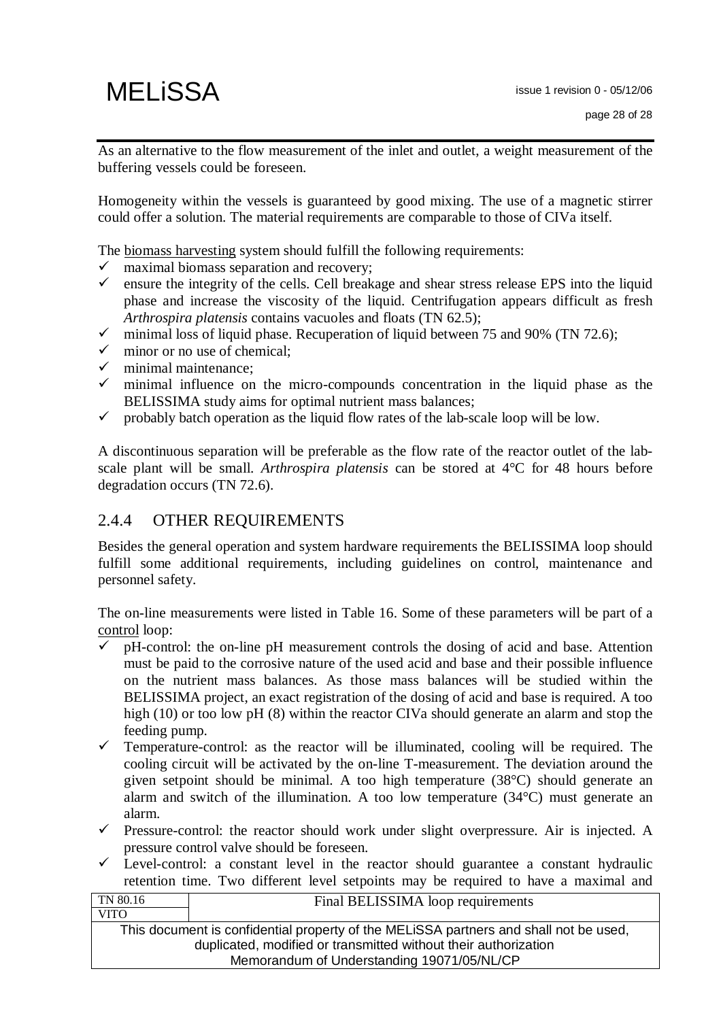As an alternative to the flow measurement of the inlet and outlet, a weight measurement of the buffering vessels could be foreseen.

Homogeneity within the vessels is guaranteed by good mixing. The use of a magnetic stirrer could offer a solution. The material requirements are comparable to those of CIVa itself.

The biomass harvesting system should fulfill the following requirements:

- $\checkmark$  maximal biomass separation and recovery;
- $\checkmark$  ensure the integrity of the cells. Cell breakage and shear stress release EPS into the liquid phase and increase the viscosity of the liquid. Centrifugation appears difficult as fresh *Arthrospira platensis* contains vacuoles and floats (TN 62.5);
- $\checkmark$  minimal loss of liquid phase. Recuperation of liquid between 75 and 90% (TN 72.6);
- $\checkmark$  minor or no use of chemical:
- minimal maintenance;
- $\checkmark$  minimal influence on the micro-compounds concentration in the liquid phase as the BELISSIMA study aims for optimal nutrient mass balances;
- $\checkmark$  probably batch operation as the liquid flow rates of the lab-scale loop will be low.

A discontinuous separation will be preferable as the flow rate of the reactor outlet of the labscale plant will be small. *Arthrospira platensis* can be stored at 4°C for 48 hours before degradation occurs (TN 72.6).

### 2.4.4 OTHER REQUIREMENTS

Besides the general operation and system hardware requirements the BELISSIMA loop should fulfill some additional requirements, including guidelines on control, maintenance and personnel safety.

The on-line measurements were listed in Table 16. Some of these parameters will be part of a control loop:

- $\checkmark$  pH-control: the on-line pH measurement controls the dosing of acid and base. Attention must be paid to the corrosive nature of the used acid and base and their possible influence on the nutrient mass balances. As those mass balances will be studied within the BELISSIMA project, an exact registration of the dosing of acid and base is required. A too high (10) or too low pH (8) within the reactor CIVa should generate an alarm and stop the feeding pump.
- $\checkmark$  Temperature-control: as the reactor will be illuminated, cooling will be required. The cooling circuit will be activated by the on-line T-measurement. The deviation around the given setpoint should be minimal. A too high temperature (38°C) should generate an alarm and switch of the illumination. A too low temperature (34°C) must generate an alarm.
- $\checkmark$  Pressure-control: the reactor should work under slight overpressure. Air is injected. A pressure control valve should be foreseen.
- Level-control: a constant level in the reactor should guarantee a constant hydraulic retention time. Two different level setpoints may be required to have a maximal and

| TN 80.16                                                                              | Final BELISSIMA loop requirements |  |
|---------------------------------------------------------------------------------------|-----------------------------------|--|
| <b>VITO</b>                                                                           |                                   |  |
| This document is confidential property of the MELISSA partners and shall not be used, |                                   |  |
| duplicated, modified or transmitted without their authorization                       |                                   |  |
| Memorandum of Understanding 19071/05/NL/CP                                            |                                   |  |
|                                                                                       |                                   |  |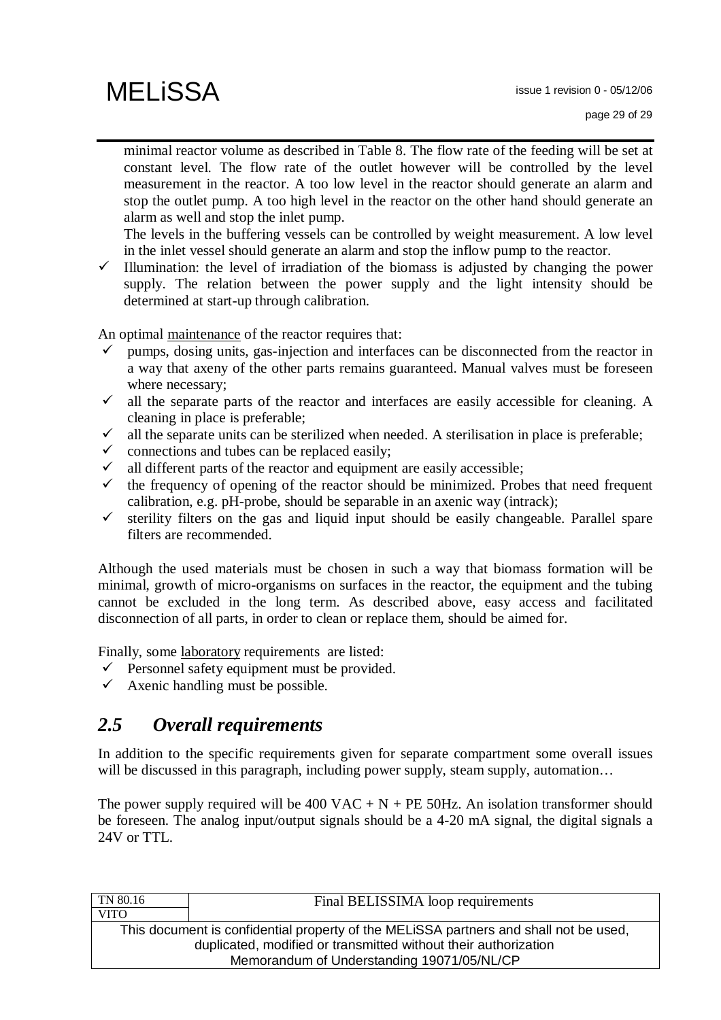minimal reactor volume as described in Table 8. The flow rate of the feeding will be set at constant level. The flow rate of the outlet however will be controlled by the level measurement in the reactor. A too low level in the reactor should generate an alarm and stop the outlet pump. A too high level in the reactor on the other hand should generate an alarm as well and stop the inlet pump.

The levels in the buffering vessels can be controlled by weight measurement. A low level in the inlet vessel should generate an alarm and stop the inflow pump to the reactor.

 $\checkmark$  Illumination: the level of irradiation of the biomass is adjusted by changing the power supply. The relation between the power supply and the light intensity should be determined at start-up through calibration.

An optimal maintenance of the reactor requires that:

- pumps, dosing units, gas-injection and interfaces can be disconnected from the reactor in a way that axeny of the other parts remains guaranteed. Manual valves must be foreseen where necessary;
- $\checkmark$  all the separate parts of the reactor and interfaces are easily accessible for cleaning. A cleaning in place is preferable;
- $\checkmark$  all the separate units can be sterilized when needed. A sterilisation in place is preferable;
- $\checkmark$  connections and tubes can be replaced easily;
- $\checkmark$  all different parts of the reactor and equipment are easily accessible;
- $\checkmark$  the frequency of opening of the reactor should be minimized. Probes that need frequent calibration, e.g. pH-probe, should be separable in an axenic way (intrack);
- $\checkmark$  sterility filters on the gas and liquid input should be easily changeable. Parallel spare filters are recommended.

Although the used materials must be chosen in such a way that biomass formation will be minimal, growth of micro-organisms on surfaces in the reactor, the equipment and the tubing cannot be excluded in the long term. As described above, easy access and facilitated disconnection of all parts, in order to clean or replace them, should be aimed for.

Finally, some laboratory requirements are listed:

- $\checkmark$  Personnel safety equipment must be provided.
- $\checkmark$  Axenic handling must be possible.

## *2.5 Overall requirements*

In addition to the specific requirements given for separate compartment some overall issues will be discussed in this paragraph, including power supply, steam supply, automation...

The power supply required will be 400 VAC + N + PE 50Hz. An isolation transformer should be foreseen. The analog input/output signals should be a 4-20 mA signal, the digital signals a 24V or TTL.

| Final BELISSIMA loop requirements                                                     |  |  |
|---------------------------------------------------------------------------------------|--|--|
|                                                                                       |  |  |
| This document is confidential property of the MELISSA partners and shall not be used, |  |  |
| duplicated, modified or transmitted without their authorization                       |  |  |
| Memorandum of Understanding 19071/05/NL/CP                                            |  |  |
|                                                                                       |  |  |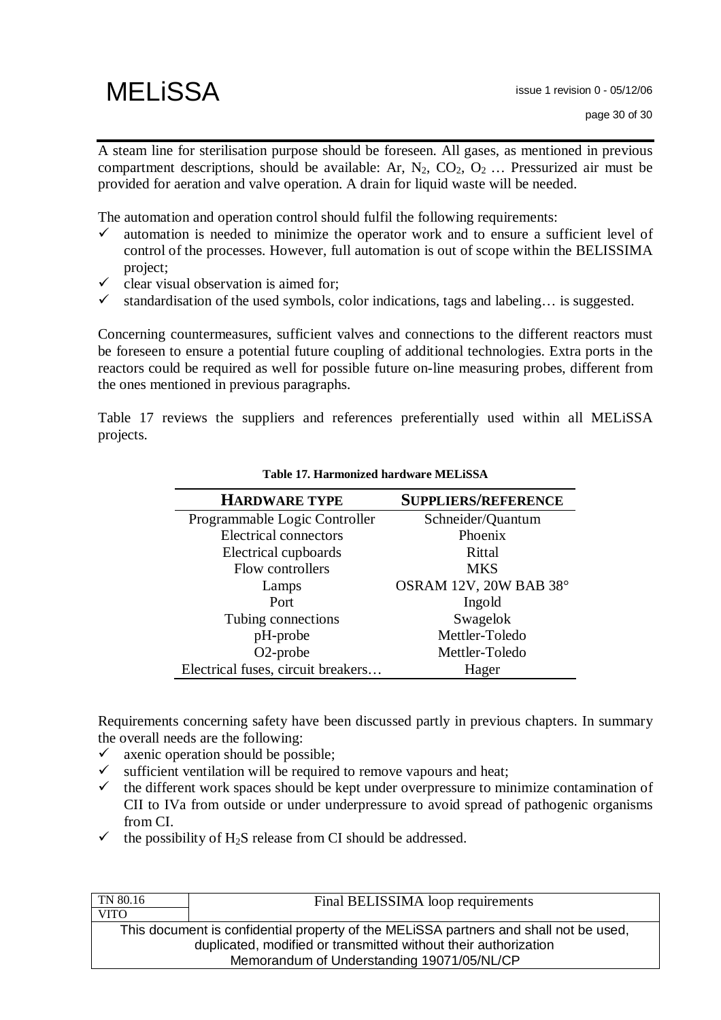

A steam line for sterilisation purpose should be foreseen. All gases, as mentioned in previous compartment descriptions, should be available: Ar,  $N_2$ ,  $CO_2$ ,  $O_2$  ... Pressurized air must be provided for aeration and valve operation. A drain for liquid waste will be needed.

The automation and operation control should fulfil the following requirements:

- $\checkmark$  automation is needed to minimize the operator work and to ensure a sufficient level of control of the processes. However, full automation is out of scope within the BELISSIMA project;
- $\checkmark$  clear visual observation is aimed for;
- $\checkmark$  standardisation of the used symbols, color indications, tags and labeling... is suggested.

Concerning countermeasures, sufficient valves and connections to the different reactors must be foreseen to ensure a potential future coupling of additional technologies. Extra ports in the reactors could be required as well for possible future on-line measuring probes, different from the ones mentioned in previous paragraphs.

Table 17 reviews the suppliers and references preferentially used within all MELiSSA projects.

| <b>HARDWARE TYPE</b>               | <b>SUPPLIERS/REFERENCE</b> |  |
|------------------------------------|----------------------------|--|
| Programmable Logic Controller      | Schneider/Quantum          |  |
| <b>Electrical connectors</b>       | Phoenix                    |  |
| Electrical cupboards               | Rittal                     |  |
| Flow controllers                   | <b>MKS</b>                 |  |
| Lamps                              | OSRAM 12V, 20W BAB 38°     |  |
| Port                               | Ingold                     |  |
| Tubing connections                 | Swagelok                   |  |
| pH-probe                           | Mettler-Toledo             |  |
| O <sub>2</sub> -probe              | Mettler-Toledo             |  |
| Electrical fuses, circuit breakers | Hager                      |  |

**Table 17. Harmonized hardware MELiSSA** 

Requirements concerning safety have been discussed partly in previous chapters. In summary the overall needs are the following:

- $\checkmark$  axenic operation should be possible;
- $\checkmark$  sufficient ventilation will be required to remove vapours and heat;
- $\checkmark$  the different work spaces should be kept under overpressure to minimize contamination of CII to IVa from outside or under underpressure to avoid spread of pathogenic organisms from CI.
- $\checkmark$  the possibility of H<sub>2</sub>S release from CI should be addressed.

| TN 80.16                                                                              | Final BELISSIMA loop requirements |  |
|---------------------------------------------------------------------------------------|-----------------------------------|--|
| <b>VITO</b>                                                                           |                                   |  |
| This document is confidential property of the MELISSA partners and shall not be used, |                                   |  |
| duplicated, modified or transmitted without their authorization                       |                                   |  |
| Memorandum of Understanding 19071/05/NL/CP                                            |                                   |  |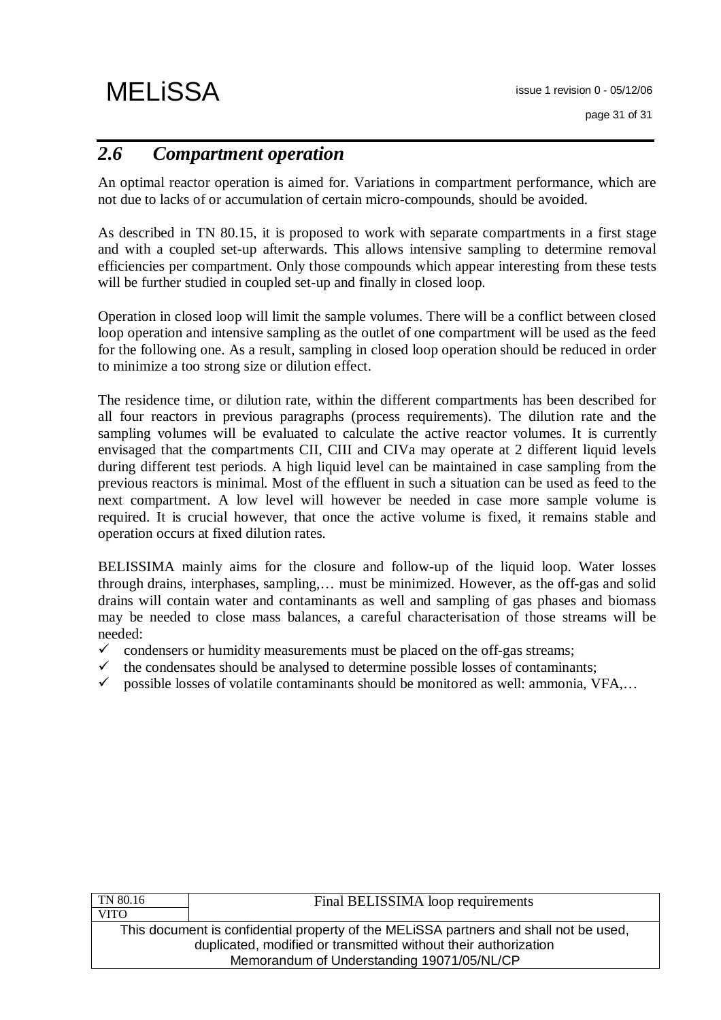## *2.6 Compartment operation*

An optimal reactor operation is aimed for. Variations in compartment performance, which are not due to lacks of or accumulation of certain micro-compounds, should be avoided.

As described in TN 80.15, it is proposed to work with separate compartments in a first stage and with a coupled set-up afterwards. This allows intensive sampling to determine removal efficiencies per compartment. Only those compounds which appear interesting from these tests will be further studied in coupled set-up and finally in closed loop.

Operation in closed loop will limit the sample volumes. There will be a conflict between closed loop operation and intensive sampling as the outlet of one compartment will be used as the feed for the following one. As a result, sampling in closed loop operation should be reduced in order to minimize a too strong size or dilution effect.

The residence time, or dilution rate, within the different compartments has been described for all four reactors in previous paragraphs (process requirements). The dilution rate and the sampling volumes will be evaluated to calculate the active reactor volumes. It is currently envisaged that the compartments CII, CIII and CIVa may operate at 2 different liquid levels during different test periods. A high liquid level can be maintained in case sampling from the previous reactors is minimal. Most of the effluent in such a situation can be used as feed to the next compartment. A low level will however be needed in case more sample volume is required. It is crucial however, that once the active volume is fixed, it remains stable and operation occurs at fixed dilution rates.

BELISSIMA mainly aims for the closure and follow-up of the liquid loop. Water losses through drains, interphases, sampling,… must be minimized. However, as the off-gas and solid drains will contain water and contaminants as well and sampling of gas phases and biomass may be needed to close mass balances, a careful characterisation of those streams will be needed:

- $\checkmark$  condensers or humidity measurements must be placed on the off-gas streams;
- the condensates should be analysed to determine possible losses of contaminants;
- $\checkmark$  possible losses of volatile contaminants should be monitored as well: ammonia, VFA,...

| Final BELISSIMA loop requirements                                                     |  |  |
|---------------------------------------------------------------------------------------|--|--|
|                                                                                       |  |  |
| This document is confidential property of the MELISSA partners and shall not be used, |  |  |
| duplicated, modified or transmitted without their authorization                       |  |  |
| Memorandum of Understanding 19071/05/NL/CP                                            |  |  |
|                                                                                       |  |  |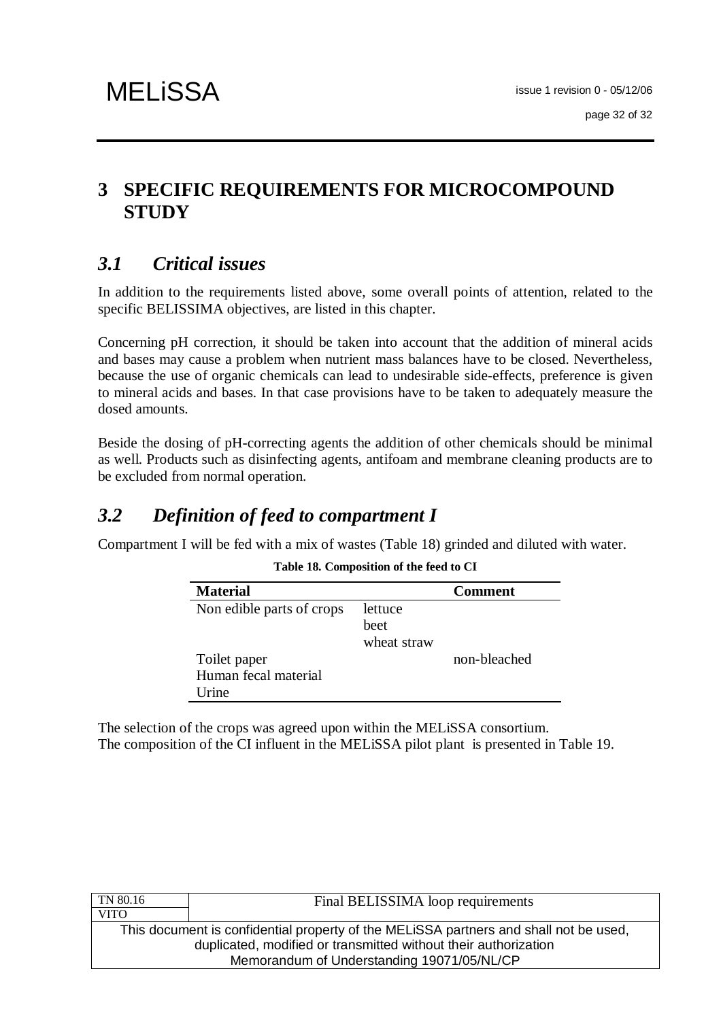## **3 SPECIFIC REQUIREMENTS FOR MICROCOMPOUND STUDY**

# *3.1 Critical issues*

In addition to the requirements listed above, some overall points of attention, related to the specific BELISSIMA objectives, are listed in this chapter.

Concerning pH correction, it should be taken into account that the addition of mineral acids and bases may cause a problem when nutrient mass balances have to be closed. Nevertheless, because the use of organic chemicals can lead to undesirable side-effects, preference is given to mineral acids and bases. In that case provisions have to be taken to adequately measure the dosed amounts.

Beside the dosing of pH-correcting agents the addition of other chemicals should be minimal as well. Products such as disinfecting agents, antifoam and membrane cleaning products are to be excluded from normal operation.

## *3.2 Definition of feed to compartment I*

Compartment I will be fed with a mix of wastes (Table 18) grinded and diluted with water.

| <b>Material</b>           |             | <b>Comment</b> |
|---------------------------|-------------|----------------|
| Non edible parts of crops | lettuce     |                |
|                           | heet        |                |
|                           | wheat straw |                |
| Toilet paper              |             | non-bleached   |
| Human fecal material      |             |                |
| <b>Irine</b>              |             |                |

**Table 18. Composition of the feed to CI** 

The selection of the crops was agreed upon within the MELiSSA consortium. The composition of the CI influent in the MELiSSA pilot plant is presented in Table 19.

| TN 80.16                                   | Final BELISSIMA loop requirements                                                                                                                        |  |
|--------------------------------------------|----------------------------------------------------------------------------------------------------------------------------------------------------------|--|
| <b>VITO</b>                                |                                                                                                                                                          |  |
|                                            | This document is confidential property of the MELISSA partners and shall not be used,<br>duplicated, modified or transmitted without their authorization |  |
| Memorandum of Understanding 19071/05/NL/CP |                                                                                                                                                          |  |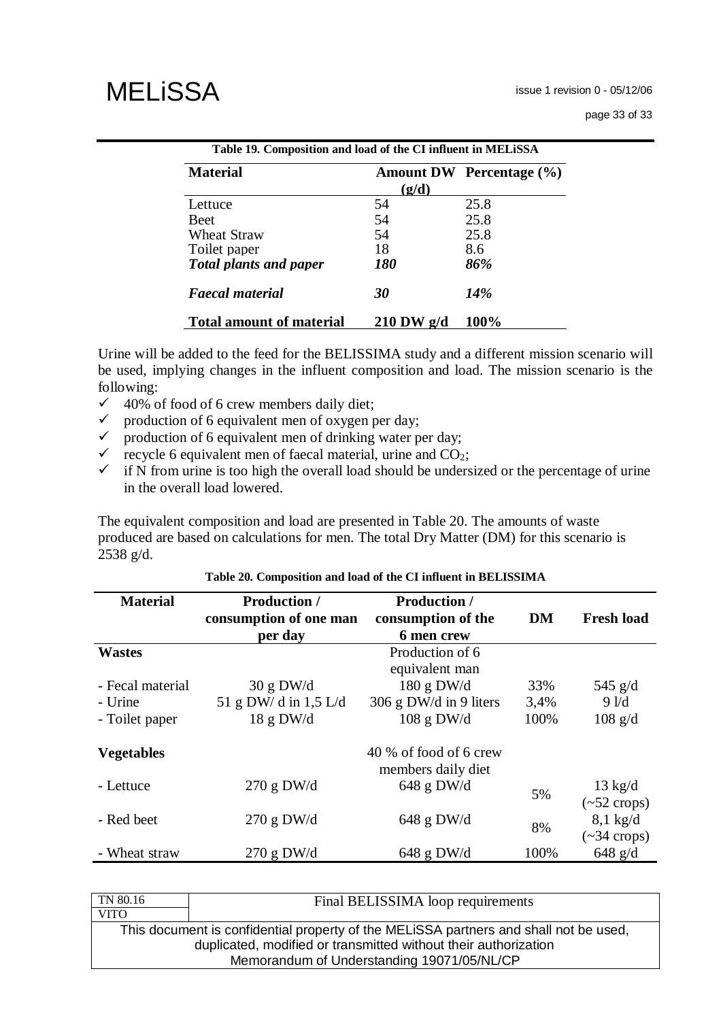| page 33 of 33 |  |  |  |
|---------------|--|--|--|
|---------------|--|--|--|

| Table 19. Composition and load of the CI influent in MELiSSA |                   |                                 |  |
|--------------------------------------------------------------|-------------------|---------------------------------|--|
| <b>Material</b>                                              |                   | <b>Amount DW</b> Percentage (%) |  |
|                                                              | (g/d)             |                                 |  |
| Lettuce                                                      | 54                | 25.8                            |  |
| <b>Beet</b>                                                  | 54                | 25.8                            |  |
| <b>Wheat Straw</b>                                           | 54                | 25.8                            |  |
| Toilet paper                                                 | 18                | 8.6                             |  |
| <b>Total plants and paper</b>                                | <i><b>180</b></i> | 86%                             |  |
| <b>Faecal material</b>                                       | 30                | 14%                             |  |
| <b>Total amount of material</b>                              | $210$ DW $g/d$    | 100%                            |  |

Urine will be added to the feed for the BELISSIMA study and a different mission scenario will be used, implying changes in the influent composition and load. The mission scenario is the following:

- $\checkmark$  40% of food of 6 crew members daily diet;
- $\checkmark$  production of 6 equivalent men of oxygen per day;
- $\checkmark$  production of 6 equivalent men of drinking water per day;
- $\checkmark$  recycle 6 equivalent men of faecal material, urine and CO<sub>2</sub>;
- $\checkmark$  if N from urine is too high the overall load should be undersized or the percentage of urine in the overall load lowered.

The equivalent composition and load are presented in Table 20. The amounts of waste produced are based on calculations for men. The total Dry Matter (DM) for this scenario is 2538 g/d.

#### **Material Production / consumption of one man per day Production / consumption of the 6 men crew DM Fresh load Wastes** Production of 6 equivalent man - Fecal material  $30 \text{ g } DW/d$  180 g DW/d  $33\%$  545 g/d - Urine  $51 \text{ g DW/d in } 1.5 \text{ L/d}$   $306 \text{ g DW/d in } 9 \text{ liters}$   $3.4\%$  9 l/d - Toilet paper 18 g DW/d  $108$  g DW/d  $100\%$  108 g/d **Vegetables** 40 % of food of 6 crew members daily diet - Lettuce 270 g DW/d 648 g DW/d 5% 13 kg/d  $(-52 \text{ crops})$ - Red beet 270 g DW/d 648 g DW/d 8% 8,1 kg/d  $(-34 \text{ crops})$ - Wheat straw 270 g DW/d 648 g DW/d  $100\%$  648 g/d

|  |  |  |  |  | Table 20. Composition and load of the CI influent in BELISSIMA |
|--|--|--|--|--|----------------------------------------------------------------|
|--|--|--|--|--|----------------------------------------------------------------|

| Final BELISSIMA loop requirements                                                     |  |  |
|---------------------------------------------------------------------------------------|--|--|
|                                                                                       |  |  |
| This document is confidential property of the MELISSA partners and shall not be used, |  |  |
| duplicated, modified or transmitted without their authorization                       |  |  |
| Memorandum of Understanding 19071/05/NL/CP                                            |  |  |
|                                                                                       |  |  |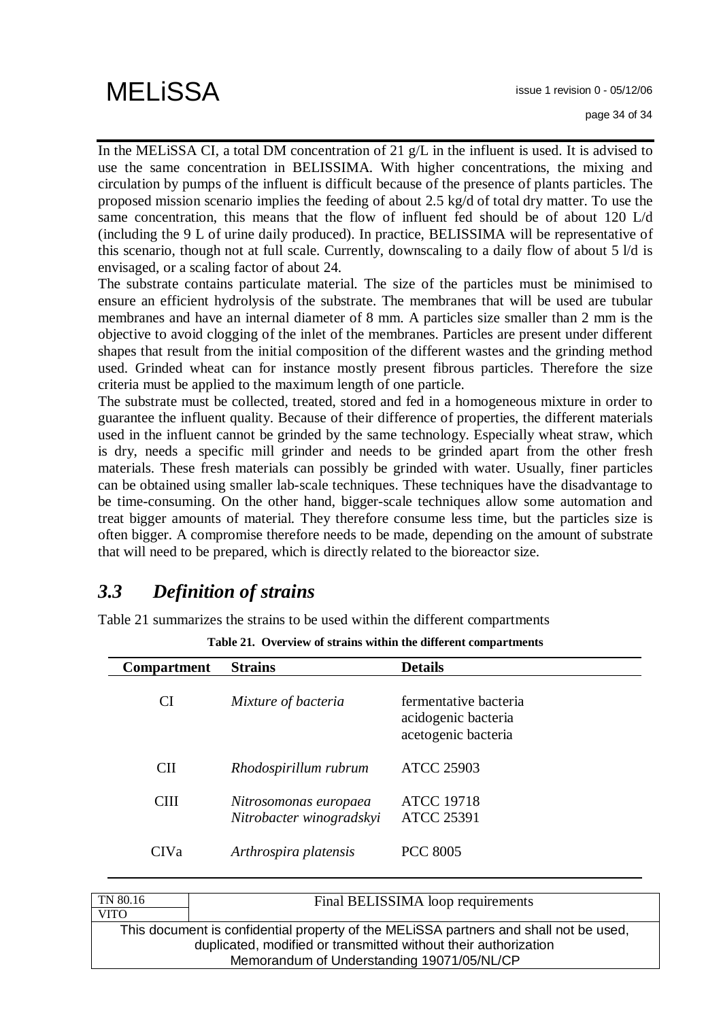In the MELISSA CI, a total DM concentration of 21 g/L in the influent is used. It is advised to use the same concentration in BELISSIMA. With higher concentrations, the mixing and circulation by pumps of the influent is difficult because of the presence of plants particles. The proposed mission scenario implies the feeding of about 2.5 kg/d of total dry matter. To use the same concentration, this means that the flow of influent fed should be of about 120 L/d (including the 9 L of urine daily produced). In practice, BELISSIMA will be representative of this scenario, though not at full scale. Currently, downscaling to a daily flow of about 5 l/d is envisaged, or a scaling factor of about 24.

The substrate contains particulate material. The size of the particles must be minimised to ensure an efficient hydrolysis of the substrate. The membranes that will be used are tubular membranes and have an internal diameter of 8 mm. A particles size smaller than 2 mm is the objective to avoid clogging of the inlet of the membranes. Particles are present under different shapes that result from the initial composition of the different wastes and the grinding method used. Grinded wheat can for instance mostly present fibrous particles. Therefore the size criteria must be applied to the maximum length of one particle.

The substrate must be collected, treated, stored and fed in a homogeneous mixture in order to guarantee the influent quality. Because of their difference of properties, the different materials used in the influent cannot be grinded by the same technology. Especially wheat straw, which is dry, needs a specific mill grinder and needs to be grinded apart from the other fresh materials. These fresh materials can possibly be grinded with water. Usually, finer particles can be obtained using smaller lab-scale techniques. These techniques have the disadvantage to be time-consuming. On the other hand, bigger-scale techniques allow some automation and treat bigger amounts of material. They therefore consume less time, but the particles size is often bigger. A compromise therefore needs to be made, depending on the amount of substrate that will need to be prepared, which is directly related to the bioreactor size.

## *3.3 Definition of strains*

Table 21 summarizes the strains to be used within the different compartments

| <b>Compartment</b> | <b>Strains</b>                                    | <b>Details</b>                                                      |
|--------------------|---------------------------------------------------|---------------------------------------------------------------------|
| <b>CI</b>          | Mixture of bacteria                               | fermentative bacteria<br>acidogenic bacteria<br>acetogenic bacteria |
| <b>CII</b>         | Rhodospirillum rubrum                             | <b>ATCC 25903</b>                                                   |
| <b>CIII</b>        | Nitrosomonas europaea<br>Nitrobacter winogradskyi | <b>ATCC 19718</b><br><b>ATCC 25391</b>                              |
| <b>CIVa</b>        | Arthrospira platensis                             | <b>PCC 8005</b>                                                     |

**Table 21. Overview of strains within the different compartments** 

| TN 80.16                                   | Final BELISSIMA loop requirements                                                     |  |  |  |
|--------------------------------------------|---------------------------------------------------------------------------------------|--|--|--|
| <b>VITO</b>                                |                                                                                       |  |  |  |
|                                            | This document is confidential property of the MELISSA partners and shall not be used, |  |  |  |
|                                            | duplicated, modified or transmitted without their authorization                       |  |  |  |
| Memorandum of Understanding 19071/05/NL/CP |                                                                                       |  |  |  |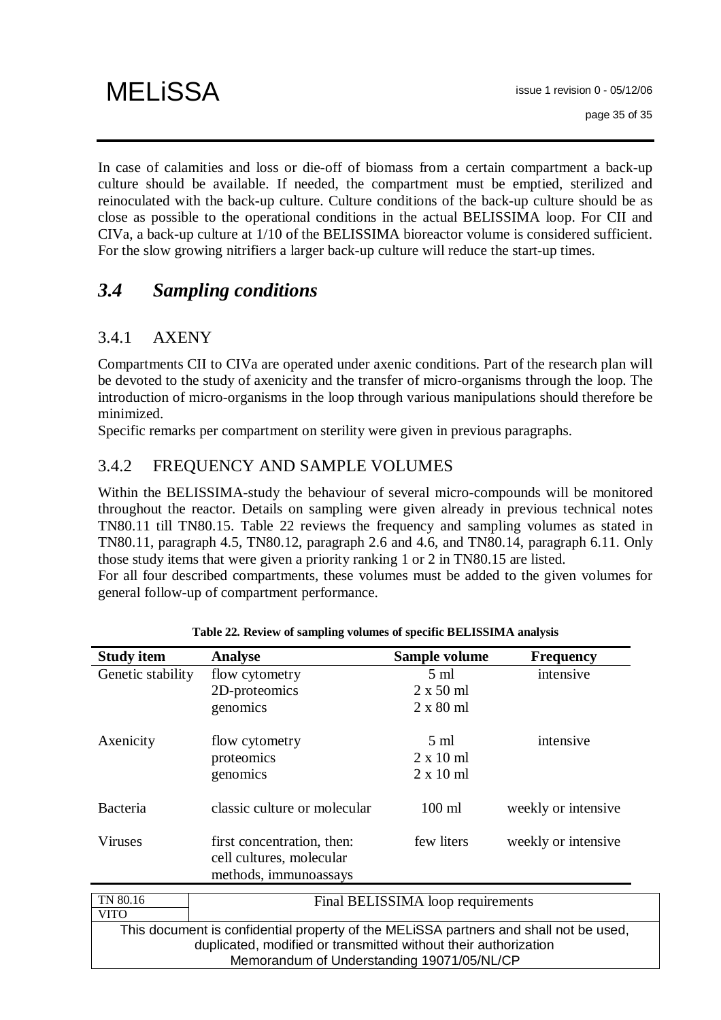In case of calamities and loss or die-off of biomass from a certain compartment a back-up culture should be available. If needed, the compartment must be emptied, sterilized and reinoculated with the back-up culture. Culture conditions of the back-up culture should be as close as possible to the operational conditions in the actual BELISSIMA loop. For CII and CIVa, a back-up culture at 1/10 of the BELISSIMA bioreactor volume is considered sufficient. For the slow growing nitrifiers a larger back-up culture will reduce the start-up times.

# *3.4 Sampling conditions*

### 3.4.1 AXENY

Compartments CII to CIVa are operated under axenic conditions. Part of the research plan will be devoted to the study of axenicity and the transfer of micro-organisms through the loop. The introduction of micro-organisms in the loop through various manipulations should therefore be minimized.

Specific remarks per compartment on sterility were given in previous paragraphs.

### 3.4.2 FREQUENCY AND SAMPLE VOLUMES

Within the BELISSIMA-study the behaviour of several micro-compounds will be monitored throughout the reactor. Details on sampling were given already in previous technical notes TN80.11 till TN80.15. Table 22 reviews the frequency and sampling volumes as stated in TN80.11, paragraph 4.5, TN80.12, paragraph 2.6 and 4.6, and TN80.14, paragraph 6.11. Only those study items that were given a priority ranking 1 or 2 in TN80.15 are listed.

For all four described compartments, these volumes must be added to the given volumes for general follow-up of compartment performance.

| <b>Study item</b> | <b>Analyse</b>                                                                        | Sample volume    | <b>Frequency</b>    |
|-------------------|---------------------------------------------------------------------------------------|------------------|---------------------|
| Genetic stability | flow cytometry                                                                        | $5 \text{ ml}$   | intensive           |
|                   | 2D-proteomics                                                                         | $2 \times 50$ ml |                     |
|                   | genomics                                                                              | $2 \times 80$ ml |                     |
| Axenicity         | flow cytometry                                                                        | $5 \text{ ml}$   | intensive           |
|                   | proteomics                                                                            | $2 \times 10$ ml |                     |
|                   | genomics                                                                              | $2 \times 10$ ml |                     |
| Bacteria          | classic culture or molecular                                                          | $100$ ml         | weekly or intensive |
| Viruses           | first concentration, then:<br>cell cultures, molecular                                | few liters       | weekly or intensive |
|                   | methods, immunoassays                                                                 |                  |                     |
| TN 80.16          | Final BELISSIMA loop requirements                                                     |                  |                     |
| <b>VITO</b>       |                                                                                       |                  |                     |
|                   | This document is confidential property of the MELISSA partners and shall not be used, |                  |                     |
|                   | duplicated, modified or transmitted without their authorization                       |                  |                     |
|                   | Memorandum of Understanding 19071/05/NL/CP                                            |                  |                     |

|  |  | Table 22. Review of sampling volumes of specific BELISSIMA analysis |  |
|--|--|---------------------------------------------------------------------|--|
|  |  |                                                                     |  |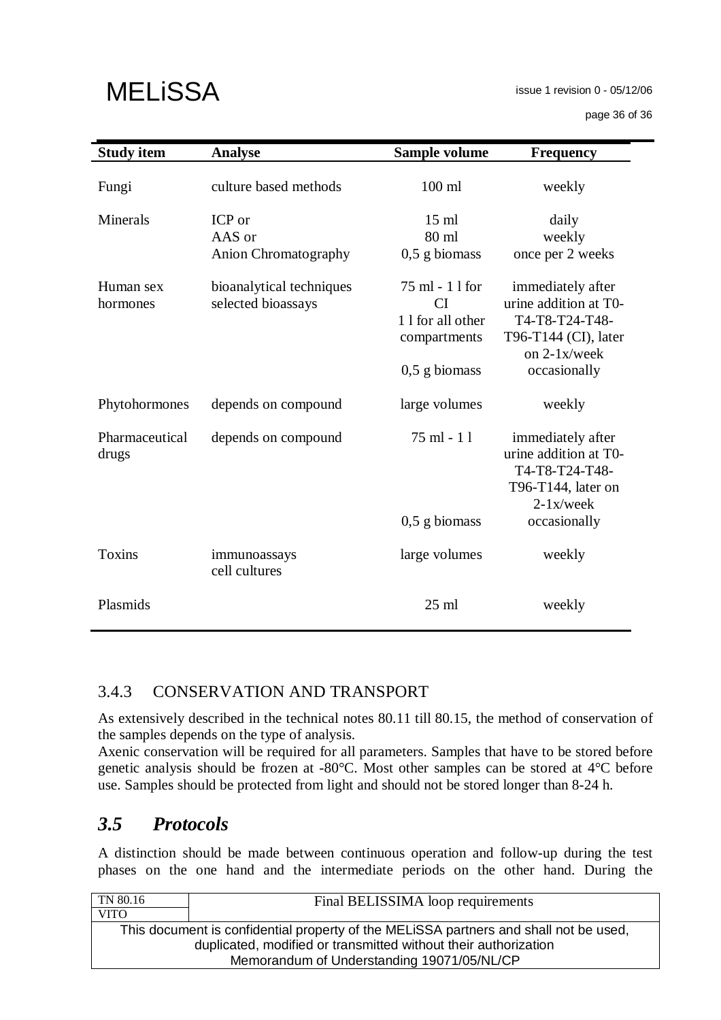issue 1 revision 0 - 05/12/06

page 36 of 36

| <b>Study item</b>       | <b>Analyse</b>                                  | Sample volume                                                                | <b>Frequency</b>                                                                                                     |
|-------------------------|-------------------------------------------------|------------------------------------------------------------------------------|----------------------------------------------------------------------------------------------------------------------|
| Fungi                   | culture based methods                           | $100$ ml                                                                     | weekly                                                                                                               |
| Minerals                | ICP or<br>AAS or<br><b>Anion Chromatography</b> | $15$ ml<br>80 ml<br>$0,5$ g biomass                                          | daily<br>weekly<br>once per 2 weeks                                                                                  |
| Human sex<br>hormones   | bioanalytical techniques<br>selected bioassays  | 75 ml - 11 for<br>CI<br>1 1 for all other<br>compartments<br>$0,5$ g biomass | immediately after<br>urine addition at T0-<br>T4-T8-T24-T48-<br>T96-T144 (CI), later<br>on 2-1x/week<br>occasionally |
| Phytohormones           | depends on compound                             | large volumes                                                                | weekly                                                                                                               |
| Pharmaceutical<br>drugs | depends on compound                             | $75$ ml - 11                                                                 | immediately after<br>urine addition at T0-<br>T4-T8-T24-T48-<br>T96-T144, later on<br>$2-1x$ /week                   |
|                         |                                                 | $0,5$ g biomass                                                              | occasionally                                                                                                         |
| <b>Toxins</b>           | immunoassays<br>cell cultures                   | large volumes                                                                | weekly                                                                                                               |
| Plasmids                |                                                 | $25$ ml                                                                      | weekly                                                                                                               |

### 3.4.3 CONSERVATION AND TRANSPORT

As extensively described in the technical notes 80.11 till 80.15, the method of conservation of the samples depends on the type of analysis.

Axenic conservation will be required for all parameters. Samples that have to be stored before genetic analysis should be frozen at -80°C. Most other samples can be stored at 4°C before use. Samples should be protected from light and should not be stored longer than 8-24 h.

# *3.5 Protocols*

A distinction should be made between continuous operation and follow-up during the test phases on the one hand and the intermediate periods on the other hand. During the

| Final BELISSIMA loop requirements                                                     |  |  |  |  |
|---------------------------------------------------------------------------------------|--|--|--|--|
|                                                                                       |  |  |  |  |
| This document is confidential property of the MELISSA partners and shall not be used, |  |  |  |  |
| duplicated, modified or transmitted without their authorization                       |  |  |  |  |
| Memorandum of Understanding 19071/05/NL/CP                                            |  |  |  |  |
|                                                                                       |  |  |  |  |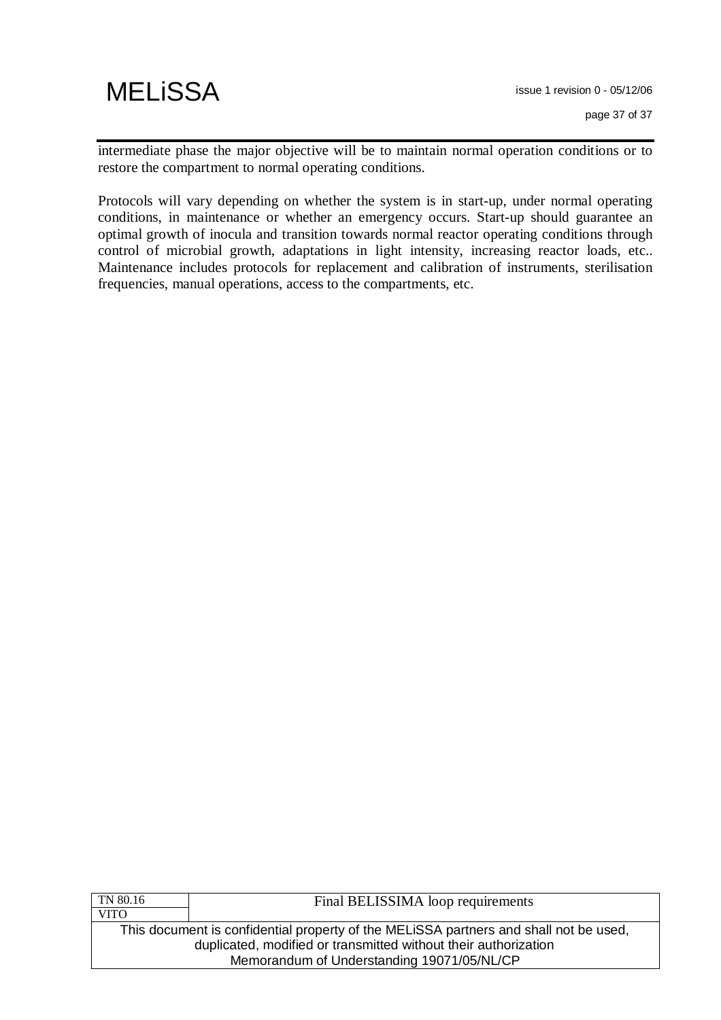intermediate phase the major objective will be to maintain normal operation conditions or to restore the compartment to normal operating conditions.

Protocols will vary depending on whether the system is in start-up, under normal operating conditions, in maintenance or whether an emergency occurs. Start-up should guarantee an optimal growth of inocula and transition towards normal reactor operating conditions through control of microbial growth, adaptations in light intensity, increasing reactor loads, etc.. Maintenance includes protocols for replacement and calibration of instruments, sterilisation frequencies, manual operations, access to the compartments, etc.

| TN 80.16                                                        | Final BELISSIMA loop requirements                                                     |  |  |
|-----------------------------------------------------------------|---------------------------------------------------------------------------------------|--|--|
| <b>VITO</b>                                                     |                                                                                       |  |  |
|                                                                 | This document is confidential property of the MELISSA partners and shall not be used, |  |  |
| duplicated, modified or transmitted without their authorization |                                                                                       |  |  |
| Memorandum of Understanding 19071/05/NL/CP                      |                                                                                       |  |  |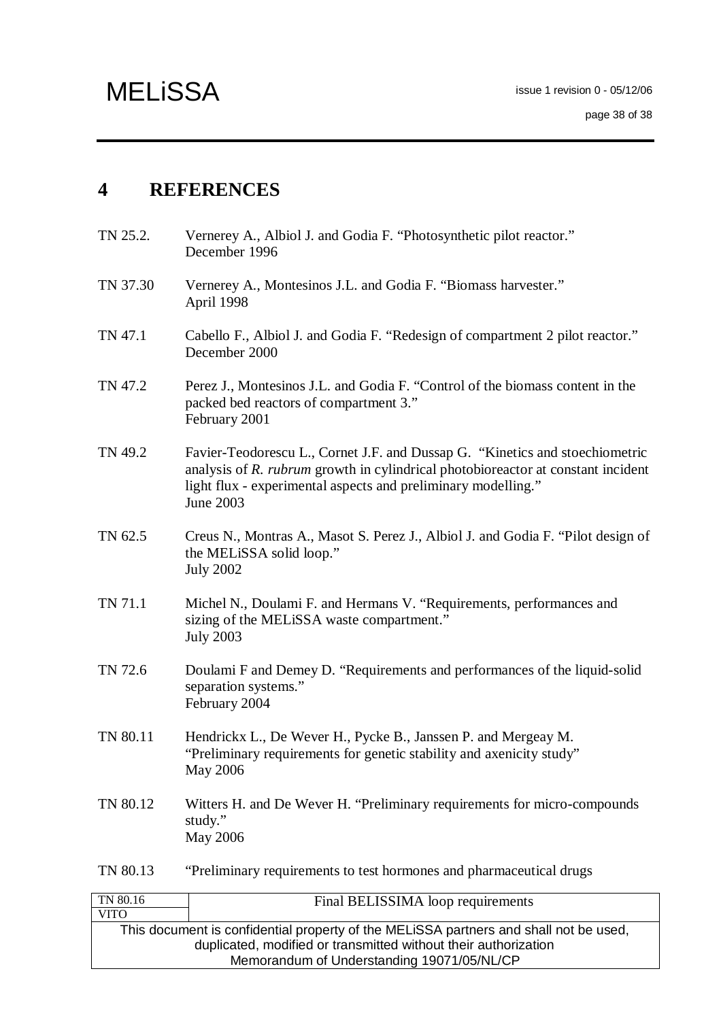## **4 REFERENCES**

- TN 25.2. Vernerey A., Albiol J. and Godia F. "Photosynthetic pilot reactor." December 1996
- TN 37.30 Vernerey A., Montesinos J.L. and Godia F. "Biomass harvester." April 1998
- TN 47.1 Cabello F., Albiol J. and Godia F. "Redesign of compartment 2 pilot reactor." December 2000
- TN 47.2 Perez J., Montesinos J.L. and Godia F. "Control of the biomass content in the packed bed reactors of compartment 3." February 2001
- TN 49.2 Favier-Teodorescu L., Cornet J.F. and Dussap G. "Kinetics and stoechiometric analysis of *R. rubrum* growth in cylindrical photobioreactor at constant incident light flux - experimental aspects and preliminary modelling." June 2003
- TN 62.5 Creus N., Montras A., Masot S. Perez J., Albiol J. and Godia F. "Pilot design of the MELiSSA solid loop." July 2002
- TN 71.1 Michel N., Doulami F. and Hermans V. "Requirements, performances and sizing of the MELiSSA waste compartment." July 2003
- TN 72.6 Doulami F and Demey D. "Requirements and performances of the liquid-solid separation systems." February 2004
- TN 80.11 Hendrickx L., De Wever H., Pycke B., Janssen P. and Mergeay M. "Preliminary requirements for genetic stability and axenicity study" May 2006
- TN 80.12 Witters H. and De Wever H. "Preliminary requirements for micro-compounds study." May 2006

TN 80.13 "Preliminary requirements to test hormones and pharmaceutical drugs

| TN 80.16                                   | Final BELISSIMA loop requirements                                                     |  |  |
|--------------------------------------------|---------------------------------------------------------------------------------------|--|--|
| <b>VITO</b>                                |                                                                                       |  |  |
|                                            | This document is confidential property of the MELISSA partners and shall not be used, |  |  |
|                                            | duplicated, modified or transmitted without their authorization                       |  |  |
| Memorandum of Understanding 19071/05/NL/CP |                                                                                       |  |  |